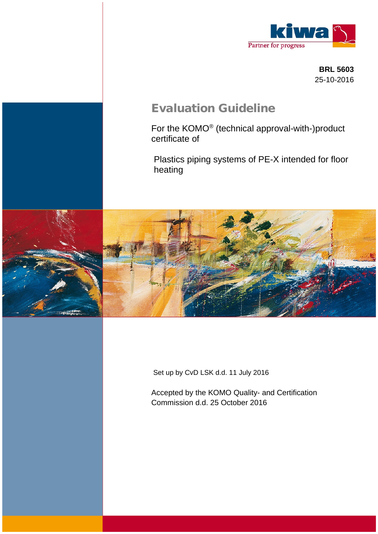

**BRL 5603** 25-10-2016

# **Evaluation Guideline**

For the KOMO® (technical approval-with-)product certificate of

Plastics piping systems of PE-X intended for floor heating



Set up by CvD LSK d.d. 11 July 2016

Accepted by the KOMO Quality- and Certification Commission d.d. 25 October 2016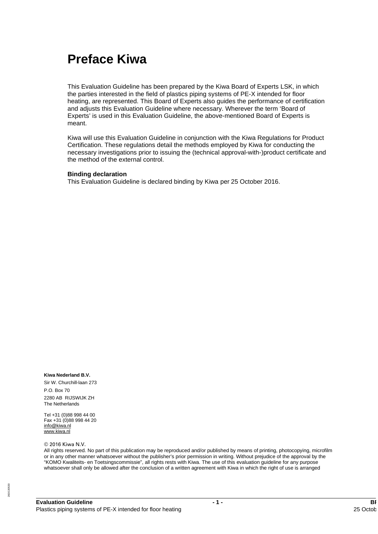# **Preface Kiwa**

This Evaluation Guideline has been prepared by the Kiwa Board of Experts LSK, in which the parties interested in the field of plastics piping systems of PE-X intended for floor heating, are represented. This Board of Experts also guides the performance of certification and adjusts this Evaluation Guideline where necessary. Wherever the term 'Board of Experts' is used in this Evaluation Guideline, the above-mentioned Board of Experts is meant.

Kiwa will use this Evaluation Guideline in conjunction with the Kiwa Regulations for Product Certification. These regulations detail the methods employed by Kiwa for conducting the necessary investigations prior to issuing the (technical approval-with-)product certificate and the method of the external control.

#### **Binding declaration**

This Evaluation Guideline is declared binding by Kiwa per 25 October 2016.

#### **Kiwa Nederland B.V.**

Sir W. Churchill-laan 273 P.O. Box 70 2280 AB RIJSWIJK ZH The Netherlands

Tel +31 (0)88 998 44 00 Fax +31 (0)88 998 44 20 [info@kiwa.nl](mailto:info@kiwa.nl) [www.kiwa.nl](http://www.kiwa.nl)

#### © 2016 Kiwa N.V.

All rights reserved. No part of this publication may be reproduced and/or published by means of printing, photocopying, microfilm or in any other manner whatsoever without the publisher's prior permission in writing. Without prejudice of the approval by the "KOMO Kwaliteits- en Toetsingscommissie", all rights rests with Kiwa. The use of this evaluation guideline for any purpose whatsoever shall only be allowed after the conclusion of a written agreement with Kiwa in which the right of use is arranged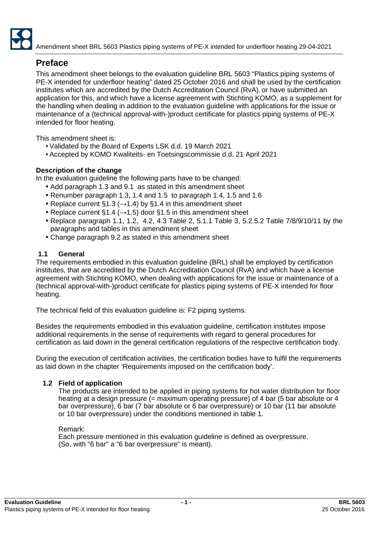

# **Preface**

This amendment sheet belongs to the evaluation guideline BRL 5603 "Plastics piping systems of PE-X intended for underfloor heating" dated 25 October 2016 and shall be used by the certification institutes which are accredited by the Dutch Accreditation Council (RvA), or have submitted an application for this, and which have a license agreement with Stichting KOMO, as a supplement for the handling when dealing in addition to the evaluation guideline with applications for the issue or maintenance of a (technical approval-with-)product certificate for plastics piping systems of PE-X intended for floor heating.

This amendment sheet is:

- Validated by the Board of Experts LSK d.d. 19 March 2021
- Accepted by KOMO Kwaliteits- en Toetsingscommissie d.d. 21 April 2021

# **Description of the change**

In the evaluation guideline the following parts have to be changed:

- Add paragraph 1.3 and 9.1 as stated in this amendment sheet
- Renumber paragraph 1.3, 1.4 and 1.5 to paragraph 1.4, 1.5 and 1.6
- Replace current §1.3 ( $\rightarrow$ 1.4) by §1.4 in this amendment sheet
- Replace current §1.4 ( $\rightarrow$ 1.5) door §1.5 in this amendment sheet
- Replace paragraph 1.1, 1.2, 4.2, 4.3 Table 2, 5.1.1 Table 3, 5.2.5.2 Table 7/8/9/10/11 by the paragraphs and tables in this amendment sheet
- Change paragraph 9.2 as stated in this amendment sheet

# **1.1 General**

The requirements embodied in this evaluation guideline (BRL) shall be employed by certification institutes, that are accredited by the Dutch Accreditation Council (RvA) and which have a license agreement with Stichting KOMO, when dealing with applications for the issue or maintenance of a (technical approval-with-)product certificate for plastics piping systems of PE-X intended for floor heating.

The technical field of this evaluation guideline is: F2 piping systems.

Besides the requirements embodied in this evaluation guideline, certification institutes impose additional requirements in the sense of requirements with regard to general procedures for certification as laid down in the general certification regulations of the respective certification body.

During the execution of certification activities, the certification bodies have to fulfil the requirements as laid down in the chapter 'Requirements imposed on the certification body'.

#### **1.2 Field of application**

The products are intended to be applied in piping systems for hot water distribution for floor heating at a design pressure (= maximum operating pressure) of 4 bar (5 bar absolute or 4 bar overpressure), 6 bar (7 bar absolute or 6 bar overpressure) or 10 bar (11 bar absolute or 10 bar overpressure) under the conditions mentioned in table 1.

#### Remark:

Each pressure mentioned in this evaluation guideline is defined as overpressure. (So, with "6 bar" a "6 bar overpressure" is meant).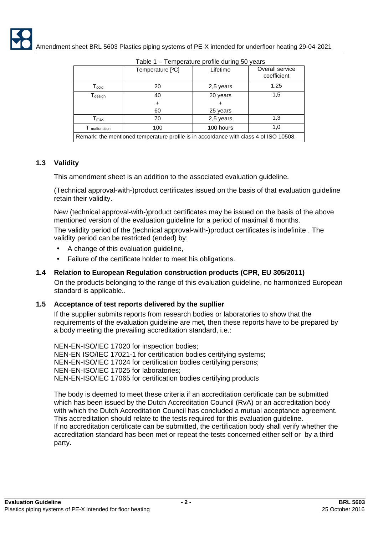| Table 1 - Temperature profile during 50 years |                                                                                       |           |                                |  |  |  |  |  |
|-----------------------------------------------|---------------------------------------------------------------------------------------|-----------|--------------------------------|--|--|--|--|--|
|                                               | Temperature [ <sup>o</sup> C]                                                         | Lifetime  | Overall service<br>coefficient |  |  |  |  |  |
| $T_{\text{cold}}$                             | 20                                                                                    | 2,5 years | 1,25                           |  |  |  |  |  |
| $T_{\text{design}}$                           | 40                                                                                    | 20 years  | 1,5                            |  |  |  |  |  |
|                                               |                                                                                       |           |                                |  |  |  |  |  |
|                                               | 60                                                                                    | 25 years  |                                |  |  |  |  |  |
| $\mathsf{T}_{\mathsf{max}}$                   | 70                                                                                    | 2,5 years | 1,3                            |  |  |  |  |  |
| malfunction                                   | 100                                                                                   | 100 hours | 1,0                            |  |  |  |  |  |
|                                               | Remark: the mentioned temperature profile is in accordance with class 4 of ISO 10508. |           |                                |  |  |  |  |  |

# **1.3 Validity**

This amendment sheet is an addition to the associated evaluation guideline.

(Technical approval-with-)product certificates issued on the basis of that evaluation guideline retain their validity.

New (technical approval-with-)product certificates may be issued on the basis of the above mentioned version of the evaluation guideline for a period of maximal 6 months.

The validity period of the (technical approval-with-)product certificates is indefinite . The validity period can be restricted (ended) by:

- A change of this evaluation guideline,
- Failure of the certificate holder to meet his obligations.

# **1.4 Relation to European Regulation construction products (CPR, EU 305/2011)**

On the products belonging to the range of this evaluation guideline, no harmonized European standard is applicable..

#### **1.5 Acceptance of test reports delivered by the supllier**

If the supplier submits reports from research bodies or laboratories to show that the requirements of the evaluation guideline are met, then these reports have to be prepared by a body meeting the prevailing accreditation standard, i.e.:

NEN-EN-ISO/IEC 17020 for inspection bodies; NEN-EN ISO/IEC 17021-1 for certification bodies certifying systems; NEN-EN-ISO/IEC 17024 for certification bodies certifying persons; NEN-EN-ISO/IEC 17025 for laboratories; NEN-EN-ISO/IEC 17065 for certification bodies certifying products

The body is deemed to meet these criteria if an accreditation certificate can be submitted which has been issued by the Dutch Accreditation Council (RvA) or an accreditation body with which the Dutch Accreditation Council has concluded a mutual acceptance agreement. This accreditation should relate to the tests required for this evaluation guideline. If no accreditation certificate can be submitted, the certification body shall verify whether the accreditation standard has been met or repeat the tests concerned either self or by a third party.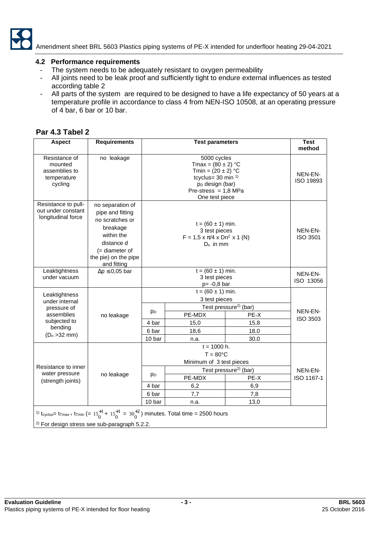

Amendment sheet BRL 5603 Plastics piping systems of PE-X intended for underfloor heating 29-04-2021

#### **4.2 Performance requirements**

- The system needs to be adequately resistant to oxygen permeability
- All joints need to be leak proof and sufficiently tight to endure external influences as tested according table 2
- All parts of the system are required to be designed to have a life expectancy of 50 years at a temperature profile in accordance to class 4 from NEN-ISO 10508, at an operating pressure of 4 bar, 6 bar or 10 bar.

# **Par 4.3 Tabel 2**

| <b>Aspect</b>                                                       | <b>Requirements</b>                                                                                                                                         |                | <b>Test parameters</b>                                                                                                                                                       |                                           | <b>Test</b><br>method |  |
|---------------------------------------------------------------------|-------------------------------------------------------------------------------------------------------------------------------------------------------------|----------------|------------------------------------------------------------------------------------------------------------------------------------------------------------------------------|-------------------------------------------|-----------------------|--|
| Resistance of<br>mounted<br>assemblies to<br>temperature<br>cycling | no leakage                                                                                                                                                  |                | 5000 cycles<br>Tmax = $(80 \pm 2) °C$<br>Tmin = $(20 \pm 2) °C$<br>tcyclus= $30 \text{ min}^{-1}$<br>p <sub>D</sub> design (bar)<br>Pre-stress = $1,8$ MPa<br>One test piece |                                           | NEN-EN-<br>ISO 19893  |  |
| Resistance to pull-<br>out under constant<br>longitudinal force     | no separation of<br>pipe and fitting<br>no scratches or<br>breakage<br>within the<br>distance d<br>$($ = diameter of<br>the pie) on the pipe<br>and fitting |                | $t = (60 \pm 1)$ min.<br>3 test pieces<br>$F = 1.5 \times \pi/4 \times Dn^2 \times 1$ (N)<br>$D_n$ in mm<br>$t = (60 \pm 1)$ min.                                            |                                           | NEN-EN-<br>ISO 3501   |  |
| Leaktightness<br>under vacuum                                       | $\Delta p \leq 0.05$ bar                                                                                                                                    |                | NEN-EN-<br>ISO 13056                                                                                                                                                         |                                           |                       |  |
| Leaktightness<br>under internal                                     |                                                                                                                                                             |                |                                                                                                                                                                              |                                           |                       |  |
| pressure of<br>assemblies                                           | no leakage                                                                                                                                                  | p <sub>D</sub> | PE-MDX                                                                                                                                                                       | Test pressure <sup>2)</sup> (bar)<br>PE-X | NEN-EN-               |  |
| subjected to                                                        |                                                                                                                                                             | 4 bar          | 15,0                                                                                                                                                                         | 15,8                                      | ISO 3503              |  |
| bending                                                             |                                                                                                                                                             |                | 6 bar                                                                                                                                                                        | 18,6                                      | 18,0                  |  |
| $(D_n > 32$ mm)                                                     |                                                                                                                                                             | 10 bar         | n.a.                                                                                                                                                                         | 30,0                                      |                       |  |
| Resistance to inner<br>water pressure<br>(strength joints)          | no leakage                                                                                                                                                  | pр             | $t = 1000$ h.<br>$T = 80^{\circ}$ C<br>Minimum of 3 test pieces<br>PE-MDX                                                                                                    | Test pressure <sup>2)</sup> (bar)<br>PE-X | NEN-EN-<br>ISO 1167-1 |  |
|                                                                     |                                                                                                                                                             | 4 bar          | 6,2                                                                                                                                                                          | 6,9                                       |                       |  |
|                                                                     |                                                                                                                                                             | 6 bar          | 7,7                                                                                                                                                                          | 7,8                                       |                       |  |
|                                                                     |                                                                                                                                                             | 10 bar         | n.a.                                                                                                                                                                         | 13,0                                      |                       |  |
|                                                                     | <sup>2)</sup> For design stress see sub-paragraph 5.2.2.                                                                                                    |                | <sup>1)</sup> t <sub>cyclus</sub> = t <sub>Tmax +</sub> t <sub>Tmin</sub> (= $15_0^{+1}$ + $15_0^{+1}$ = $30_0^{+2}$ ) minutes. Total time = 2500 hours                      |                                           |                       |  |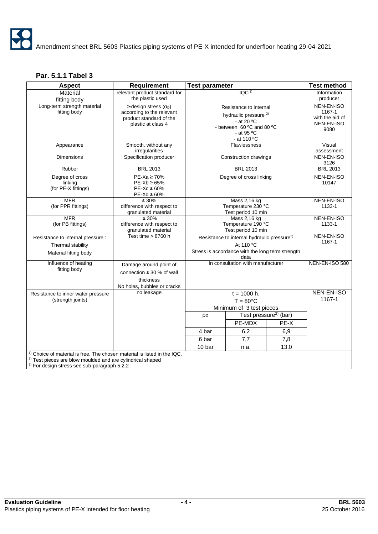# **Par. 5.1.1 Tabel 3**

| <b>Aspect</b>                                                                                                                                                                                                   | <b>Requirement</b>                                                                                                          | <b>Test parameter</b>                                    |                                                                                                                                                      |                                   | <b>Test method</b>                                                   |
|-----------------------------------------------------------------------------------------------------------------------------------------------------------------------------------------------------------------|-----------------------------------------------------------------------------------------------------------------------------|----------------------------------------------------------|------------------------------------------------------------------------------------------------------------------------------------------------------|-----------------------------------|----------------------------------------------------------------------|
| Material<br>fitting body                                                                                                                                                                                        | relevant product standard for<br>the plastic used                                                                           |                                                          | $\overline{IQC}$ <sup>1)</sup>                                                                                                                       |                                   | Information<br>producer                                              |
| Long-term strength material<br>fitting body                                                                                                                                                                     | $\ge$ design stress ( $\sigma$ <sub>D</sub> )<br>according to the relevant<br>product standard of the<br>plastic at class 4 |                                                          | Resistance to internal<br>hydraulic pressure <sup>2)</sup><br>- at 20 $\mathrm{^{\circ}C}$<br>- between 60 °C and 80 °C<br>- at 95 °C<br>- at 110 °C |                                   | NEN-EN-ISO<br>1167-1<br>with the aid of<br><b>NEN-EN-ISO</b><br>9080 |
| Appearance                                                                                                                                                                                                      | Smooth, without any<br>irregularities                                                                                       |                                                          | Flawlessness                                                                                                                                         |                                   | Visual<br>assessment                                                 |
| <b>Dimensions</b>                                                                                                                                                                                               | Specification producer                                                                                                      |                                                          | Construction drawings                                                                                                                                |                                   | <b>NEN-EN-ISO</b><br>3126                                            |
| Rubber                                                                                                                                                                                                          | <b>BRL 2013</b>                                                                                                             |                                                          | <b>BRL 2013</b>                                                                                                                                      |                                   | <b>BRL 2013</b>                                                      |
| Degree of cross<br>linking<br>(for PE-X fittings)                                                                                                                                                               | $PE-Xa \geq 70\%$<br>$PE-Xb \geq 65\%$<br>$PE-Xc \geq 60\%$<br>$PE-Xd \geq 60\%$                                            |                                                          | Degree of cross linking                                                                                                                              |                                   | NEN-EN-ISO<br>10147                                                  |
| <b>MFR</b><br>(for PPR fittings)                                                                                                                                                                                | $\leq 30\%$<br>difference with respect to<br>granulated material                                                            | Mass 2,16 kg<br>Temperature 230 °C<br>Test period 10 min |                                                                                                                                                      |                                   | NEN-EN-ISO<br>1133-1                                                 |
| <b>MFR</b><br>(for PB fittings)                                                                                                                                                                                 | $\leq 30\%$<br>difference with respect to<br>granulated material                                                            |                                                          | Mass 2,16 kg<br>Temperature 190 °C<br>Test period 10 min                                                                                             |                                   |                                                                      |
| Resistance to internal pressure :<br>Thermal stability<br>Material fitting body                                                                                                                                 | Test time $> 8760$ h                                                                                                        |                                                          | Resistance to internal hydraulic pressure <sup>2)</sup><br>At 110 °C<br>Stress is accordance with the long term strength<br>data                     |                                   | NEN-EN-ISO<br>1167-1                                                 |
| Influence of heating<br>fitting body                                                                                                                                                                            | Damage around point of<br>connection $\leq 30$ % of wall<br>thickness<br>No holes, bubbles or cracks                        |                                                          | In consultation with manufacturer                                                                                                                    |                                   | NEN-EN-ISO 580                                                       |
| Resistance to inner water pressure<br>(strength joints)                                                                                                                                                         | no leakage                                                                                                                  |                                                          | $t = 1000$ h.<br>$T = 80^{\circ}$ C<br>Minimum of 3 test pieces                                                                                      |                                   | NEN-EN-ISO<br>1167-1                                                 |
|                                                                                                                                                                                                                 |                                                                                                                             | <b>PD</b>                                                |                                                                                                                                                      | Test pressure <sup>2)</sup> (bar) |                                                                      |
|                                                                                                                                                                                                                 |                                                                                                                             |                                                          | PE-MDX                                                                                                                                               | PE-X                              |                                                                      |
|                                                                                                                                                                                                                 |                                                                                                                             | 4 bar                                                    | 6,2                                                                                                                                                  | 6,9                               |                                                                      |
|                                                                                                                                                                                                                 |                                                                                                                             | 6 bar                                                    | 7,7                                                                                                                                                  | 7,8                               |                                                                      |
|                                                                                                                                                                                                                 |                                                                                                                             | 10 bar                                                   | n.a.                                                                                                                                                 | 13,0                              |                                                                      |
| <sup>1)</sup> Choice of material is free. The chosen material is listed in the IQC.<br><sup>2)</sup> Test pieces are blow moulded and are cylindrical shaped<br>$3)$ For design stress see sub-paragraph 5.2.2. |                                                                                                                             |                                                          |                                                                                                                                                      |                                   |                                                                      |

<sup>3)</sup> For design stress see sub-paragraph 5.2.2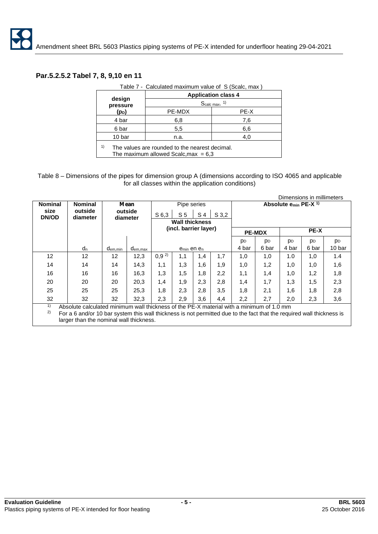### **Par.5.2.5.2 Tabel 7, 8, 9,10 en 11**

|                    |                                                                                          | <b>Application class 4</b> |  |  |  |  |  |
|--------------------|------------------------------------------------------------------------------------------|----------------------------|--|--|--|--|--|
| design<br>pressure | $S_{\text{calc max.}}$ <sup>1)</sup>                                                     |                            |  |  |  |  |  |
| (po)               | PE-MDX                                                                                   | PE-X                       |  |  |  |  |  |
| 4 bar              | 6,8                                                                                      | 7.6                        |  |  |  |  |  |
| 6 bar              | 5,5                                                                                      | 6,6                        |  |  |  |  |  |
| 10 bar             | n.a.                                                                                     | 4,0                        |  |  |  |  |  |
| 1)                 | The values are rounded to the nearest decimal.<br>The maximum allowed Scalc, max = $6.3$ |                            |  |  |  |  |  |

Table 7 - Calculated maximum value of S (Scalc, max )

Table 8 – Dimensions of the pipes for dimension group A (dimensions according to ISO 4065 and applicable for all classes within the application conditions)

|                      |                                                                                                                                                                                                                                                              |                     |                     |                                                |                                    |                |         |           |           | Dimensions in millimeters             |                |                |
|----------------------|--------------------------------------------------------------------------------------------------------------------------------------------------------------------------------------------------------------------------------------------------------------|---------------------|---------------------|------------------------------------------------|------------------------------------|----------------|---------|-----------|-----------|---------------------------------------|----------------|----------------|
| <b>Nominal</b>       | <b>Nominal</b>                                                                                                                                                                                                                                               |                     | Mean                |                                                | Pipe series                        |                |         |           |           | Absolute $e_{min}$ PE-X <sup>1)</sup> |                |                |
| size<br><b>DN/OD</b> | outside<br>diameter                                                                                                                                                                                                                                          | outside<br>diameter |                     | S 6,3                                          | S <sub>5</sub>                     | S <sub>4</sub> | $S$ 3,2 |           |           |                                       |                |                |
|                      |                                                                                                                                                                                                                                                              |                     |                     | <b>Wall thickness</b><br>(incl. barrier layer) |                                    |                |         |           |           |                                       |                |                |
|                      |                                                                                                                                                                                                                                                              |                     |                     |                                                |                                    | <b>PE-MDX</b>  |         | PE-X      |           |                                       |                |                |
|                      |                                                                                                                                                                                                                                                              |                     |                     |                                                |                                    |                |         | <b>DD</b> | <b>DD</b> | DD                                    | p <sub>D</sub> | p <sub>D</sub> |
|                      | d <sub>n</sub>                                                                                                                                                                                                                                               | d <sub>em.min</sub> | d <sub>em,max</sub> |                                                | e <sub>min</sub> en e <sub>n</sub> |                |         | 4 bar     | 6 bar     | 4 bar                                 | 6 bar          | 10 bar         |
| 12                   | $12 \overline{ }$                                                                                                                                                                                                                                            | $12 \overline{ }$   | 12,3                | $0,9^{2}$                                      | 1,1                                | 1,4            | 1,7     | 1,0       | 1,0       | 1.0                                   | 1,0            | 1.4            |
| 14                   | 14                                                                                                                                                                                                                                                           | 14                  | 14,3                | 1,1                                            | 1,3                                | 1.6            | 1,9     | 1,0       | 1,2       | 1,0                                   | 1,0            | 1,6            |
| 16                   | 16                                                                                                                                                                                                                                                           | 16                  | 16,3                | 1,3                                            | 1,5                                | 1,8            | 2,2     | 1,1       | 1,4       | 1,0                                   | 1,2            | 1,8            |
| 20                   | 20                                                                                                                                                                                                                                                           | 20                  | 20,3                | 1,4                                            | 1.9                                | 2.3            | 2,8     | 1,4       | 1.7       | 1,3                                   | 1,5            | 2,3            |
| 25                   | 25                                                                                                                                                                                                                                                           | 25                  | 25,3                | 1,8                                            | 2,3                                | 2,8            | 3,5     | 1,8       | 2,1       | 1,6                                   | 1,8            | 2,8            |
| 32                   | 32                                                                                                                                                                                                                                                           | 32                  | 32,3                | 2,3                                            | 2,9                                | 3,6            | 4,4     | 2,2       | 2,7       | 2,0                                   | 2,3            | 3,6            |
| 1)<br>2)             | Absolute calculated minimum wall thickness of the PE-X material with a minimum of 1.0 mm<br>For a 6 and/or 10 bar system this wall thickness is not permitted due to the fact that the required wall thickness is<br>larger than the nominal wall thickness. |                     |                     |                                                |                                    |                |         |           |           |                                       |                |                |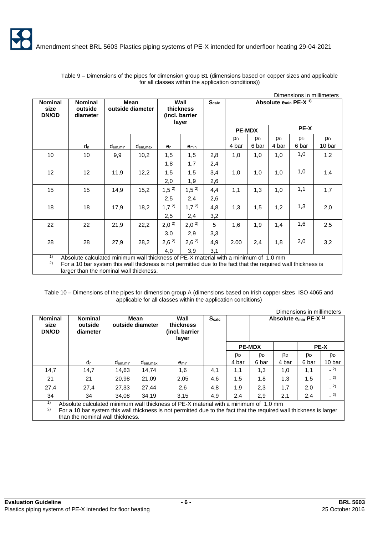|                                 |                                                                                                              |                     |                                 |                  |                                              |     |                |                |                |                                              | Dimensions in millimeters |
|---------------------------------|--------------------------------------------------------------------------------------------------------------|---------------------|---------------------------------|------------------|----------------------------------------------|-----|----------------|----------------|----------------|----------------------------------------------|---------------------------|
| <b>Nominal</b><br>size<br>DN/OD | <b>Nominal</b><br>outside<br>diameter                                                                        |                     | <b>Mean</b><br>outside diameter |                  | Wall<br>thickness<br>(incl. barrier<br>layer |     |                |                |                | Absolute e <sub>min</sub> PE-X <sup>1)</sup> |                           |
|                                 |                                                                                                              |                     |                                 |                  |                                              |     |                | <b>PE-MDX</b>  |                | PE-X                                         |                           |
|                                 |                                                                                                              |                     |                                 |                  |                                              |     | p <sub>D</sub> | p <sub>D</sub> | p <sub>D</sub> | p <sub>D</sub>                               | <b>PD</b>                 |
|                                 | d <sub>n</sub>                                                                                               | d <sub>em.min</sub> | dem, max                        | e <sub>n</sub>   | $e_{min}$                                    |     | 4 bar          | 6 bar          | 4 bar          | 6 bar                                        | 10 bar                    |
| 10                              | 10                                                                                                           | 9,9                 | 10,2                            | 1,5              | 1,5                                          | 2,8 | 1,0            | 1,0            | 1,0            | 1,0                                          | 1.2                       |
|                                 |                                                                                                              |                     |                                 | 1,8              | 1,7                                          | 2,4 |                |                |                |                                              |                           |
| 12                              | 12                                                                                                           | 11,9                | 12,2                            | 1,5              | 1,5                                          | 3,4 | 1,0            | 1,0            | 1,0            | 1,0                                          | 1,4                       |
|                                 |                                                                                                              |                     |                                 | 2,0              | 1,9                                          | 2,6 |                |                |                |                                              |                           |
| 15                              | 15                                                                                                           | 14,9                | 15,2                            | 1,5 <sup>2</sup> | $1,5^{2}$                                    | 4,4 | 1,1            | 1,3            | 1,0            | 1,1                                          | 1,7                       |
|                                 |                                                                                                              |                     |                                 | 2,5              | 2,4                                          | 2,6 |                |                |                |                                              |                           |
| 18                              | 18                                                                                                           | 17,9                | 18,2                            | 1,7 <sup>2</sup> | 1,7 <sup>2</sup>                             | 4,8 | 1,3            | 1,5            | 1,2            | 1,3                                          | 2,0                       |
|                                 |                                                                                                              |                     |                                 | 2,5              | 2,4                                          | 3,2 |                |                |                |                                              |                           |
| 22                              | 22                                                                                                           | 21,9                | 22,2                            | $2,0^{2}$        | 2,0 <sup>2</sup>                             | 5   | 1,6            | 1,9            | 1,4            | 1,6                                          | 2,5                       |
|                                 |                                                                                                              |                     |                                 | 3,0              | 2,9                                          | 3,3 |                |                |                |                                              |                           |
| 28                              | 28                                                                                                           | 27,9                | 28,2                            | 2,6 <sup>2</sup> | 2,6 <sup>2</sup>                             | 4,9 | 2.00           | 2,4            | 1,8            | 2,0                                          | 3,2                       |
|                                 |                                                                                                              |                     |                                 | 4,0              | 3,9                                          | 3,1 |                |                |                |                                              |                           |
| 1)                              | Absolute calculated minimum wall thickness of PE-X material with a minimum of 1.0 mm                         |                     |                                 |                  |                                              |     |                |                |                |                                              |                           |
| 2)                              | For a 10 bar system this wall thickness is not permitted due to the fact that the required wall thickness is |                     |                                 |                  |                                              |     |                |                |                |                                              |                           |
|                                 | larger than the nominal wall thickness.                                                                      |                     |                                 |                  |                                              |     |                |                |                |                                              |                           |

Table 9 – Dimensions of the pipes for dimension group B1 (dimensions based on copper sizes and applicable for all classes within the application conditions))

Table 10 – Dimensions of the pipes for dimension group A (dimensions based on Irish copper sizes ISO 4065 and applicable for all classes within the application conditions)

|                                        |                                       |                     |                          |                                                                                                                     |                   |                |                |                                       | Dimensions in millimeters |                |
|----------------------------------------|---------------------------------------|---------------------|--------------------------|---------------------------------------------------------------------------------------------------------------------|-------------------|----------------|----------------|---------------------------------------|---------------------------|----------------|
| <b>Nominal</b><br>size<br><b>DN/OD</b> | <b>Nominal</b><br>outside<br>diameter |                     | Mean<br>outside diameter | Wall<br>thickness<br>(incl. barrier<br>layer                                                                        | S <sub>calc</sub> |                |                | Absolute $e_{min}$ PE-X <sup>1)</sup> |                           |                |
|                                        |                                       |                     |                          |                                                                                                                     |                   |                | <b>PE-MDX</b>  |                                       |                           | <b>PE-X</b>    |
|                                        |                                       |                     |                          |                                                                                                                     |                   | p <sub>D</sub> | p <sub>D</sub> | p <sub>D</sub>                        | p <sub>D</sub>            | p <sub>D</sub> |
|                                        | <b>d</b> <sub>n</sub>                 | d <sub>em.min</sub> | d <sub>em.max</sub>      | emin                                                                                                                |                   | 4 bar          | 6 bar          | 4 bar                                 | 6 bar                     | 10 bar         |
| 14,7                                   | 14,7                                  | 14,63               | 14,74                    | 1,6                                                                                                                 | 4,1               | 1,1            | 1,3            | 1,0                                   | 1,1                       | $-2)$          |
| 21                                     | 21                                    | 20.98               | 21,09                    | 2,05                                                                                                                | 4,6               | 1,5            | 1.8            | 1,3                                   | 1,5                       | $= 2$          |
| 27,4                                   | 27,4                                  | 27.33               | 27.44                    | 2,6                                                                                                                 | 4,8               | 1,9            | 2,3            | 1,7                                   | 2,0                       | $= 2$          |
| 34                                     | 34                                    | 34.08               | 34.19                    | 3.15                                                                                                                | 4,9               | 2,4            | 2,9            | 2,1                                   | 2,4                       | $-2)$          |
| 1)                                     |                                       |                     |                          | Absolute calculated minimum wall thickness of PE-X material with a minimum of 1.0 mm                                |                   |                |                |                                       |                           |                |
| 2)                                     |                                       |                     |                          | For a 10 bar system this wall thickness is not permitted due to the fact that the required wall thickness is larger |                   |                |                |                                       |                           |                |
|                                        | than the nominal wall thickness.      |                     |                          |                                                                                                                     |                   |                |                |                                       |                           |                |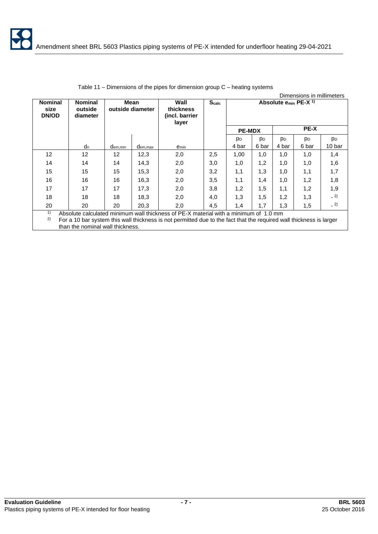|                                        |                                                                                                                                                                                                                                                 |              |                            |           |              |                |                |             | Dimensions in millimeters        |                |
|----------------------------------------|-------------------------------------------------------------------------------------------------------------------------------------------------------------------------------------------------------------------------------------------------|--------------|----------------------------|-----------|--------------|----------------|----------------|-------------|----------------------------------|----------------|
| <b>Nominal</b><br>size<br><b>DN/OD</b> | Wall<br><b>Nominal</b><br>Mean<br>outside diameter<br>outside<br>thickness<br>(incl. barrier)<br>diameter                                                                                                                                       |              | layer                      |           | <b>Scalc</b> |                |                |             | Absolute $e_{min}$ PE-X $^{1}$ ) |                |
|                                        |                                                                                                                                                                                                                                                 |              |                            |           |              | <b>PE-MDX</b>  |                | <b>PE-X</b> |                                  |                |
|                                        |                                                                                                                                                                                                                                                 |              |                            |           |              | p <sub>D</sub> | p <sub>D</sub> | <b>PD</b>   | <b>PD</b>                        | p <sub>D</sub> |
|                                        | $d_n$                                                                                                                                                                                                                                           | $d_{em,min}$ | d <sub>em,<u>max</u></sub> | $e_{min}$ |              | 4 bar          | 6 bar          | 4 bar       | 6 bar                            | 10 bar         |
| 12                                     | $12 \overline{ }$                                                                                                                                                                                                                               | 12           | 12,3                       | 2,0       | 2,5          | 1,00           | 1,0            | 1,0         | 1,0                              | 1,4            |
| 14                                     | 14                                                                                                                                                                                                                                              | 14           | 14,3                       | 2,0       | 3,0          | 1,0            | 1,2            | 1,0         | 1,0                              | 1,6            |
| 15                                     | 15                                                                                                                                                                                                                                              | 15           | 15,3                       | 2,0       | 3,2          | 1,1            | 1,3            | 1,0         | 1,1                              | 1,7            |
| 16                                     | 16                                                                                                                                                                                                                                              | 16           | 16,3                       | 2,0       | 3,5          | 1,1            | 1,4            | 1,0         | 1,2                              | 1,8            |
| 17                                     | 17                                                                                                                                                                                                                                              | 17           | 17,3                       | 2,0       | 3,8          | 1,2            | 1,5            | 1,1         | 1,2                              | 1,9            |
| 18                                     | 18                                                                                                                                                                                                                                              | 18           | 18.3                       | 2,0       | 4,0          | 1,3            | 1,5            | 1,2         | 1,3                              | $-2)$          |
| 20                                     | 20                                                                                                                                                                                                                                              | 20           | 20,3                       | 2,0       | 4,5          | 1,4            | 1,7            | 1,3         | 1,5                              | $-2)$          |
| 1)<br>2)                               | Absolute calculated minimum wall thickness of PE-X material with a minimum of 1.0 mm<br>For a 10 bar system this wall thickness is not permitted due to the fact that the required wall thickness is larger<br>than the nominal wall thickness. |              |                            |           |              |                |                |             |                                  |                |

| Table 11 – Dimensions of the pipes for dimension group $C$ – heating systems |  |  |  |
|------------------------------------------------------------------------------|--|--|--|
|------------------------------------------------------------------------------|--|--|--|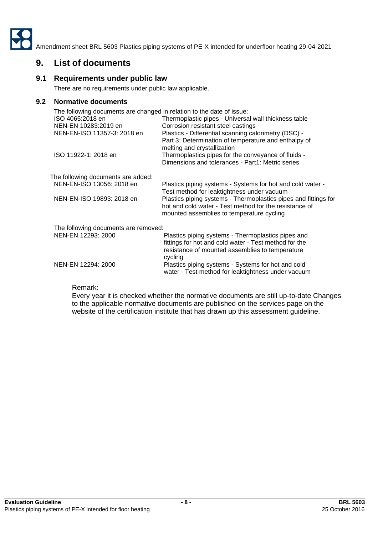

# **9. List of documents**

### **9.1 Requirements under public law**

There are no requirements under public law applicable.

### **9.2 Normative documents**

| The following documents are changed in relation to the date of issue:<br>ISO 4065:2018 en<br>NEN-EN 10283:2019 en | Thermoplastic pipes - Universal wall thickness table<br>Corrosion resistant steel castings                                                                                |
|-------------------------------------------------------------------------------------------------------------------|---------------------------------------------------------------------------------------------------------------------------------------------------------------------------|
| NEN-EN-ISO 11357-3: 2018 en                                                                                       | Plastics - Differential scanning calorimetry (DSC) -<br>Part 3: Determination of temperature and enthalpy of<br>melting and crystallization                               |
| ISO 11922-1: 2018 en                                                                                              | Thermoplastics pipes for the conveyance of fluids -<br>Dimensions and tolerances - Part1: Metric series                                                                   |
| The following documents are added:                                                                                |                                                                                                                                                                           |
| NEN-EN-ISO 13056: 2018 en                                                                                         | Plastics piping systems - Systems for hot and cold water -<br>Test method for leaktightness under vacuum                                                                  |
| NEN-EN-ISO 19893: 2018 en                                                                                         | Plastics piping systems - Thermoplastics pipes and fittings for<br>hot and cold water - Test method for the resistance of<br>mounted assemblies to temperature cycling    |
| The following documents are removed:                                                                              |                                                                                                                                                                           |
| NEN-EN 12293: 2000                                                                                                | Plastics piping systems - Thermoplastics pipes and<br>fittings for hot and cold water - Test method for the<br>resistance of mounted assemblies to temperature<br>cycling |
| NEN-EN 12294: 2000                                                                                                | Plastics piping systems - Systems for hot and cold<br>water - Test method for leaktightness under vacuum                                                                  |

Remark:

Every year it is checked whether the normative documents are still up-to-date Changes to the applicable normative documents are published on the services page on the website of the certification institute that has drawn up this assessment guideline.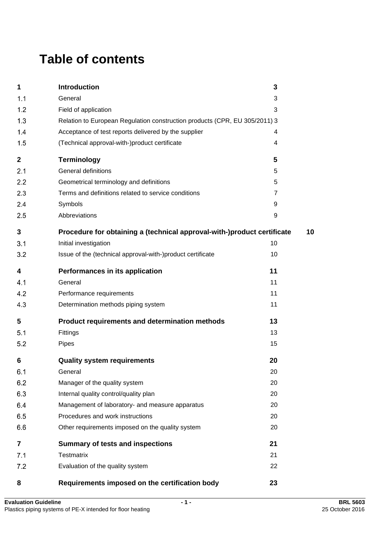# **Table of contents**

| 1                       | Introduction                                                               | 3  |    |
|-------------------------|----------------------------------------------------------------------------|----|----|
| 1.1                     | General                                                                    | 3  |    |
| 1.2                     | Field of application                                                       | 3  |    |
| 1.3                     | Relation to European Regulation construction products (CPR, EU 305/2011) 3 |    |    |
| 1.4                     | Acceptance of test reports delivered by the supplier                       | 4  |    |
| 1.5                     | (Technical approval-with-)product certificate                              | 4  |    |
| $\mathbf 2$             | <b>Terminology</b>                                                         | 5  |    |
| 2.1                     | <b>General definitions</b>                                                 | 5  |    |
| 2.2                     | Geometrical terminology and definitions                                    | 5  |    |
| 2.3                     | Terms and definitions related to service conditions                        | 7  |    |
| 2.4                     | Symbols                                                                    | 9  |    |
| 2.5                     | Abbreviations                                                              | 9  |    |
| 3                       | Procedure for obtaining a (technical approval-with-)product certificate    |    | 10 |
| 3.1                     | Initial investigation                                                      | 10 |    |
| 3.2                     | Issue of the (technical approval-with-)product certificate                 | 10 |    |
| 4                       | Performances in its application                                            | 11 |    |
| 4.1                     | General                                                                    | 11 |    |
| 4.2                     | Performance requirements                                                   | 11 |    |
| 4.3                     | Determination methods piping system                                        | 11 |    |
| 5                       | Product requirements and determination methods                             | 13 |    |
| 5.1                     | Fittings                                                                   | 13 |    |
| 5.2                     | Pipes                                                                      | 15 |    |
| 6                       | <b>Quality system requirements</b>                                         | 20 |    |
| 6.1                     | General                                                                    | 20 |    |
| 6.2                     | Manager of the quality system                                              | 20 |    |
| 6.3                     | Internal quality control/quality plan                                      | 20 |    |
| 6.4                     | Management of laboratory- and measure apparatus                            | 20 |    |
| 6.5                     | Procedures and work instructions                                           | 20 |    |
| 6.6                     | Other requirements imposed on the quality system                           | 20 |    |
| $\overline{\mathbf{7}}$ | <b>Summary of tests and inspections</b>                                    | 21 |    |
| 7.1                     | <b>Testmatrix</b>                                                          | 21 |    |
| 7.2                     | Evaluation of the quality system                                           | 22 |    |
| 8                       | Requirements imposed on the certification body                             | 23 |    |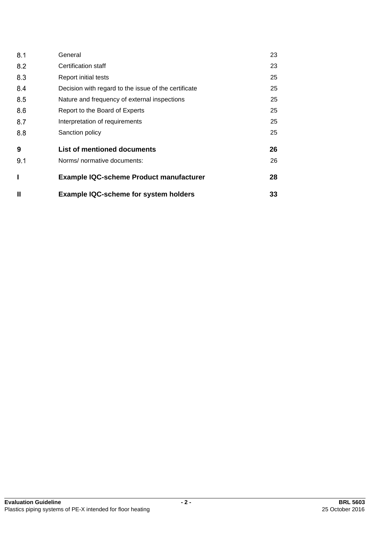| 8.1          | General                                              | 23 |
|--------------|------------------------------------------------------|----|
| 8.2          | Certification staff                                  | 23 |
| 8.3          | Report initial tests                                 | 25 |
| 8.4          | Decision with regard to the issue of the certificate | 25 |
| 8.5          | Nature and frequency of external inspections         | 25 |
| 8.6          | Report to the Board of Experts                       | 25 |
| 8.7          | Interpretation of requirements                       | 25 |
| 8.8          | Sanction policy                                      | 25 |
| 9            | List of mentioned documents                          | 26 |
| 9.1          | Norms/ normative documents:                          | 26 |
| I            | <b>Example IQC-scheme Product manufacturer</b>       | 28 |
| $\mathbf{I}$ | <b>Example IQC-scheme for system holders</b>         | 33 |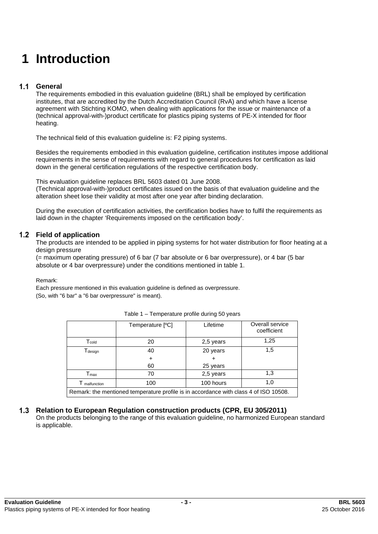# **1 Introduction**

#### $1.1$ **General**

The requirements embodied in this evaluation guideline (BRL) shall be employed by certification institutes, that are accredited by the Dutch Accreditation Council (RvA) and which have a license agreement with Stichting KOMO, when dealing with applications for the issue or maintenance of a (technical approval-with-)product certificate for plastics piping systems of PE-X intended for floor heating.

The technical field of this evaluation guideline is: F2 piping systems.

Besides the requirements embodied in this evaluation guideline, certification institutes impose additional requirements in the sense of requirements with regard to general procedures for certification as laid down in the general certification regulations of the respective certification body.

This evaluation guideline replaces BRL 5603 dated 01 June 2008.

(Technical approval-with-)product certificates issued on the basis of that evaluation guideline and the alteration sheet lose their validity at most after one year after binding declaration.

During the execution of certification activities, the certification bodies have to fulfil the requirements as laid down in the chapter 'Requirements imposed on the certification body'.

#### **Field of application**

The products are intended to be applied in piping systems for hot water distribution for floor heating at a design pressure

(= maximum operating pressure) of 6 bar (7 bar absolute or 6 bar overpressure), or 4 bar (5 bar absolute or 4 bar overpressure) under the conditions mentioned in table 1.

Remark:

Each pressure mentioned in this evaluation guideline is defined as overpressure. (So, with "6 bar" a "6 bar overpressure" is meant).

|                                                                                       | Temperature [°C] | Lifetime  | Overall service<br>coefficient |  |
|---------------------------------------------------------------------------------------|------------------|-----------|--------------------------------|--|
| $\mathsf{T}_{\mathsf{cold}}$                                                          | 20               | 2,5 years | 1,25                           |  |
| Tdesign                                                                               | 40               | 20 years  | 1,5                            |  |
|                                                                                       |                  |           |                                |  |
|                                                                                       | 60               | 25 years  |                                |  |
| $\mathsf{T}_{\mathsf{max}}$                                                           | 70               | 2,5 years | 1,3                            |  |
| malfunction                                                                           | 100              | 100 hours | 1,0                            |  |
| Remark: the mentioned temperature profile is in accordance with class 4 of ISO 10508. |                  |           |                                |  |

#### Table 1 – Temperature profile during 50 years

# **Relation to European Regulation construction products (CPR, EU 305/2011)**

On the products belonging to the range of this evaluation guideline, no harmonized European standard is applicable.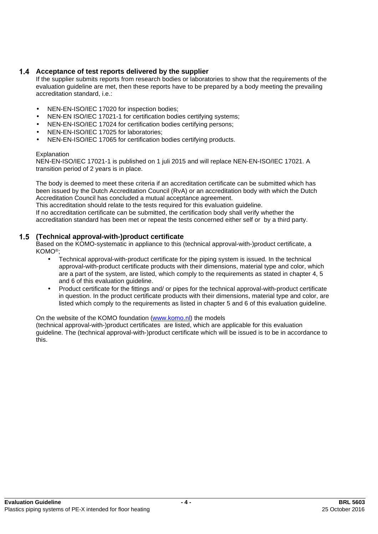# **Acceptance of test reports delivered by the supplier**

If the supplier submits reports from research bodies or laboratories to show that the requirements of the evaluation guideline are met, then these reports have to be prepared by a body meeting the prevailing accreditation standard, i.e.:

- NEN-EN-ISO/IEC 17020 for inspection bodies;
- NEN-EN ISO/IEC 17021-1 for certification bodies certifying systems;
- NEN-EN-ISO/IEC 17024 for certification bodies certifying persons;
- NEN-EN-ISO/IEC 17025 for laboratories;
- NEN-EN-ISO/IEC 17065 for certification bodies certifying products.

#### **Explanation**

NEN-EN-ISO/IEC 17021-1 is published on 1 juli 2015 and will replace NEN-EN-ISO/IEC 17021. A transition period of 2 years is in place.

The body is deemed to meet these criteria if an accreditation certificate can be submitted which has been issued by the Dutch Accreditation Council (RvA) or an accreditation body with which the Dutch Accreditation Council has concluded a mutual acceptance agreement.

This accreditation should relate to the tests required for this evaluation guideline. If no accreditation certificate can be submitted, the certification body shall verify whether the accreditation standard has been met or repeat the tests concerned either self or by a third party.

#### **(Technical approval-with-)product certificate**

Based on the KOMO-systematic in appliance to this (technical approval-with-)product certificate, a KOMO®;

- Technical approval-with-product certificate for the piping system is issued. In the technical approval-with-product certificate products with their dimensions, material type and color, which are a part of the system, are listed, which comply to the requirements as stated in chapter 4, 5 and 6 of this evaluation guideline.
- Product certificate for the fittings and/ or pipes for the technical approval-with-product certificate in question. In the product certificate products with their dimensions, material type and color, are listed which comply to the requirements as listed in chapter 5 and 6 of this evaluation guideline.

#### On the website of the KOMO foundation [\(www.komo.nl\)](http://www.komo.nl) the models

(technical approval-with-)product certificates are listed, which are applicable for this evaluation guideline. The (technical approval-with-)product certificate which will be issued is to be in accordance to this.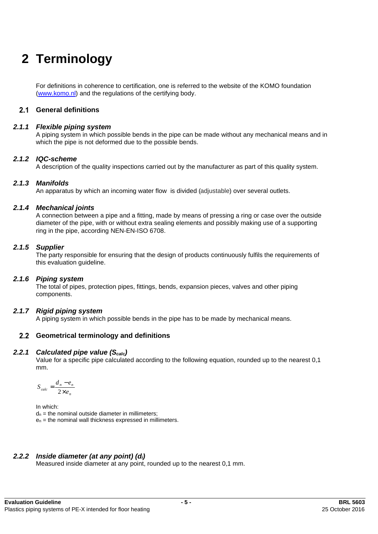# **2 Terminology**

For definitions in coherence to certification, one is referred to the website of the KOMO foundation ([www.komo.nl](http://www.komo.nl)) and the regulations of the certifying body.

#### **General definitions**

#### *2.1.1 Flexible piping system*

A piping system in which possible bends in the pipe can be made without any mechanical means and in which the pipe is not deformed due to the possible bends.

#### *2.1.2 IQC-scheme*

A description of the quality inspections carried out by the manufacturer as part of this quality system.

#### *2.1.3 Manifolds*

An apparatus by which an incoming water flow is divided (adjustable) over several outlets.

#### *2.1.4 Mechanical joints*

A connection between a pipe and a fitting, made by means of pressing a ring or case over the outside diameter of the pipe, with or without extra sealing elements and possibly making use of a supporting ring in the pipe, according NEN-EN-ISO 6708.

#### *2.1.5 Supplier*

The party responsible for ensuring that the design of products continuously fulfils the requirements of this evaluation guideline.

#### *2.1.6 Piping system*

The total of pipes, protection pipes, fittings, bends, expansion pieces, valves and other piping components.

#### *2.1.7 Rigid piping system*

A piping system in which possible bends in the pipe has to be made by mechanical means.

#### **Geometrical terminology and definitions**

#### *2.2.1 Calculated pipe value (Scalc)*

Value for a specific pipe calculated according to the following equation, rounded up to the nearest 0,1 mm.

$$
S_{calc} = \frac{d_n - e_n}{2 \times e_n}
$$

In which:

 $d_n$  = the nominal outside diameter in millimeters;

 $e_n$  = the nominal wall thickness expressed in millimeters.

#### *2.2.2 Inside diameter (at any point) (di)*

Measured inside diameter at any point, rounded up to the nearest 0,1 mm.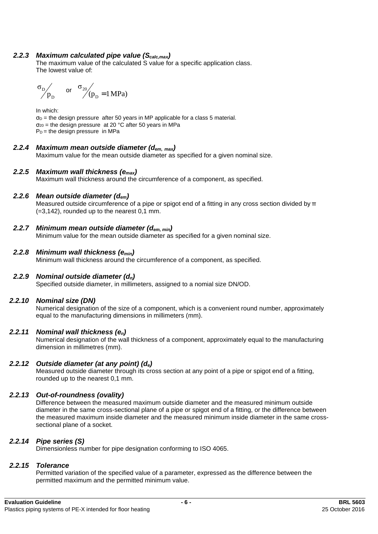### *2.2.3 Maximum calculated pipe value (Scalc,max)*

The maximum value of the calculated S value for a specific application class. The lowest value of:

 or (p 1MPa) σ D 20 = D D p σ

In which:  $\sigma_D$  = the design pressure after 50 years in MP applicable for a class 5 material.  $\sigma_{20}$  = the design pressure at 20 °C after 50 years in MPa  $P_D$  = the design pressure in MPa

### *2.2.4 Maximum mean outside diameter (dem, max)*

Maximum value for the mean outside diameter as specified for a given nominal size.

#### *2.2.5 Maximum wall thickness (emax)*

Maximum wall thickness around the circumference of a component, as specified.

### *2.2.6 Mean outside diameter (dem)*

Measured outside circumference of a pipe or spigot end of a fitting in any cross section divided by π (=3,142), rounded up to the nearest 0,1 mm.

### *2.2.7 Minimum mean outside diameter (dem, min)*

Minimum value for the mean outside diameter as specified for a given nominal size.

#### *2.2.8 Minimum wall thickness (emin)*

Minimum wall thickness around the circumference of a component, as specified.

#### *2.2.9 Nominal outside diameter (dn)*

Specified outside diameter, in millimeters, assigned to a nomial size DN/OD.

#### *2.2.10 Nominal size (DN)*

Numerical designation of the size of a component, which is a convenient round number, approximately equal to the manufacturing dimensions in millimeters (mm).

#### *2.2.11 Nominal wall thickness (en)*

Numerical designation of the wall thickness of a component, approximately equal to the manufacturing dimension in millimetres (mm).

#### *2.2.12 Outside diameter (at any point) (de)*

Measured outside diameter through its cross section at any point of a pipe or spigot end of a fitting, rounded up to the nearest 0,1 mm.

# *2.2.13 Out-of-roundness (ovality)*

Difference between the measured maximum outside diameter and the measured minimum outside diameter in the same cross-sectional plane of a pipe or spigot end of a fitting, or the difference between the measured maximum inside diameter and the measured minimum inside diameter in the same crosssectional plane of a socket.

#### *2.2.14 Pipe series (S)*

Dimensionless number for pipe designation conforming to ISO 4065.

#### *2.2.15 Tolerance*

Permitted variation of the specified value of a parameter, expressed as the difference between the permitted maximum and the permitted minimum value.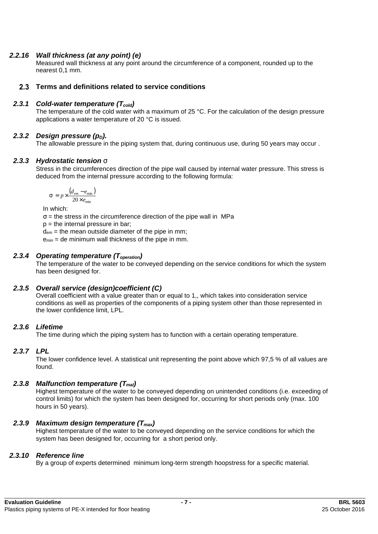### *2.2.16 Wall thickness (at any point) (e)*

Measured wall thickness at any point around the circumference of a component, rounded up to the nearest 0,1 mm.

#### **Terms and definitions related to service conditions**

#### *2.3.1 Cold-water temperature (Tcold)*

The temperature of the cold water with a maximum of 25 °C. For the calculation of the design pressure applications a water temperature of 20 °C is issued.

### *2.3.2 Design pressure (p<sub>D</sub>).*

The allowable pressure in the piping system that, during continuous use, during 50 years may occur.

#### *2.3.3 Hydrostatic tension s*

Stress in the circumferences direction of the pipe wall caused by internal water pressure. This stress is deduced from the internal pressure according to the following formula:

$$
s = p \times \frac{(d_{em} - e_{\min})}{20 \times e_{\min}}
$$

In which:

 $\sigma$  = the stress in the circumference direction of the pipe wall in MPa

 $p =$  the internal pressure in bar;

 $d_{em}$  = the mean outside diameter of the pipe in mm;

emin = de minimum wall thickness of the pipe in mm.

### *2.3.4 Operating temperature (Toperation)*

The temperature of the water to be conveyed depending on the service conditions for which the system has been designed for.

# *2.3.5 Overall service (design)coefficient (C)*

Overall coefficient with a value greater than or equal to 1,, which takes into consideration service conditions as well as properties of the components of a piping system other than those represented in the lower confidence limit, LPL.

# *2.3.6 Lifetime*

The time during which the piping system has to function with a certain operating temperature.

# *2.3.7 LPL*

The lower confidence level. A statistical unit representing the point above which 97,5 % of all values are found.

#### *2.3.8 Malfunction temperature (Tmal)*

Highest temperature of the water to be conveyed depending on unintended conditions (i.e. exceeding of control limits) for which the system has been designed for, occurring for short periods only (max. 100 hours in 50 years).

#### *2.3.9 Maximum design temperature (Tmax)*

Highest temperature of the water to be conveyed depending on the service conditions for which the system has been designed for, occurring for a short period only.

#### *2.3.10 Reference line*

By a group of experts determined minimum long-term strength hoopstress for a specific material.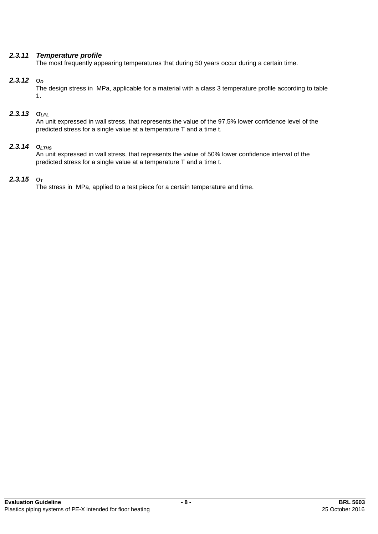### *2.3.11 Temperature profile*

The most frequently appearing temperatures that during 50 years occur during a certain time.

### *2.3.12 s<sup>D</sup>*

The design stress in MPa, applicable for a material with a class 3 temperature profile according to table 1.

### *2.3.13 sLPL*

An unit expressed in wall stress, that represents the value of the 97,5% lower confidence level of the predicted stress for a single value at a temperature T and a time t.

# *2.3.14 sLTHS*

An unit expressed in wall stress, that represents the value of 50% lower confidence interval of the predicted stress for a single value at a temperature T and a time t.

### *2.3.15 s<sup>T</sup>*

The stress in MPa, applied to a test piece for a certain temperature and time.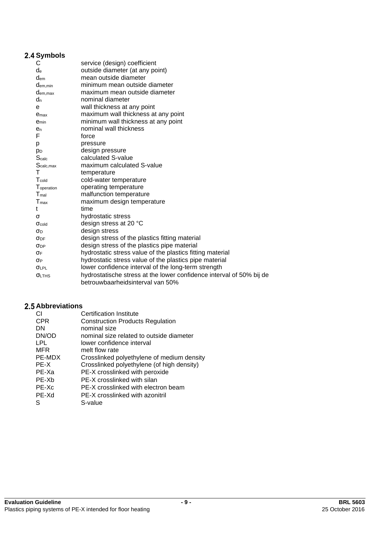# **2.4 Symbols**

| С                      | service (design) coefficient                                         |
|------------------------|----------------------------------------------------------------------|
| $d_e$                  | outside diameter (at any point)                                      |
| $d_{em}$               | mean outside diameter                                                |
| $d_{em,min}$           | minimum mean outside diameter                                        |
| dem, max               | maximum mean outside diameter                                        |
| $d_n$                  | nominal diameter                                                     |
| e                      | wall thickness at any point                                          |
| e <sub>max</sub>       | maximum wall thickness at any point                                  |
| <b>e</b> min           | minimum wall thickness at any point                                  |
| $e_{n}$                | nominal wall thickness                                               |
| F                      | force                                                                |
| p                      | pressure                                                             |
| p <sub>D</sub>         | design pressure                                                      |
| Scalc                  | calculated S-value                                                   |
| S <sub>calc,max</sub>  | maximum calculated S-value                                           |
| т                      | temperature                                                          |
| $T_{\text{cold}}$      | cold-water temperature                                               |
| Toperation             | operating temperature                                                |
| $T_{\text{mal}}$       | malfunction temperature                                              |
| $T_{\text{max}}$       | maximum design temperature                                           |
| t                      | time                                                                 |
| σ                      | hydrostatic stress                                                   |
| $\sigma_{\text{cold}}$ | design stress at 20 °C                                               |
| σD                     | design stress                                                        |
| $\sigma_{\rm DF}$      | design stress of the plastics fitting material                       |
| $\sigma_{DP}$          | design stress of the plastics pipe material                          |
| σF                     | hydrostatic stress value of the plastics fitting material            |
| $\sigma_{P}$           | hydrostatic stress value of the plastics pipe material               |
| $\sigma_{LPL}$         | lower confidence interval of the long-term strength                  |
| <b>OLTHS</b>           | hydrostatische stress at the lower confidence interval of 50% bij de |
|                        | betrouwbaarheidsinterval van 50%                                     |

# **Abbreviations**

| CI.        | Certification Institute                    |
|------------|--------------------------------------------|
| <b>CPR</b> | <b>Construction Products Regulation</b>    |
| DN         | nominal size                               |
| DN/OD      | nominal size related to outside diameter   |
| LPL        | lower confidence interval                  |
| <b>MFR</b> | melt flow rate                             |
| PE-MDX     | Crosslinked polyethylene of medium density |
| PE-X       | Crosslinked polyethylene (of high density) |
| PE-Xa      | PE-X crosslinked with peroxide             |
| PE-Xh      | PE-X crosslinked with silan                |
| $PE-Xc$    | PE-X crosslinked with electron beam        |
| PE-Xd      | PE-X crosslinked with azonitril            |
|            | S-value                                    |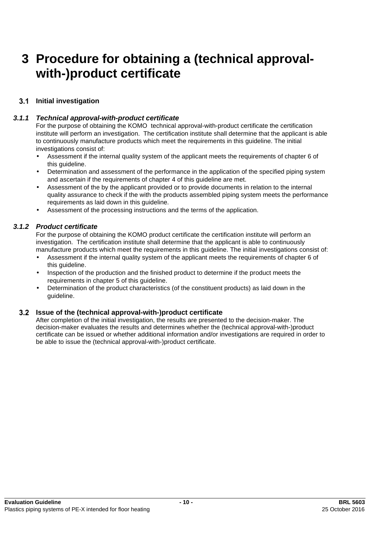# **3 Procedure for obtaining a (technical approvalwith-)product certificate**

# **Initial investigation**

### *3.1.1 Technical approval-with-product certificate*

For the purpose of obtaining the KOMO technical approval-with-product certificate the certification institute will perform an investigation. The certification institute shall determine that the applicant is able to continuously manufacture products which meet the requirements in this guideline. The initial investigations consist of:

- Assessment if the internal quality system of the applicant meets the requirements of chapter 6 of this quideline.
- Determination and assessment of the performance in the application of the specified piping system and ascertain if the requirements of chapter 4 of this guideline are met.
- Assessment of the by the applicant provided or to provide documents in relation to the internal quality assurance to check if the with the products assembled piping system meets the performance requirements as laid down in this guideline.
- Assessment of the processing instructions and the terms of the application.

### *3.1.2 Product certificate*

For the purpose of obtaining the KOMO product certificate the certification institute will perform an investigation. The certification institute shall determine that the applicant is able to continuously manufacture products which meet the requirements in this guideline. The initial investigations consist of:

- Assessment if the internal quality system of the applicant meets the requirements of chapter 6 of this guideline.
- Inspection of the production and the finished product to determine if the product meets the requirements in chapter 5 of this guideline.
- Determination of the product characteristics (of the constituent products) as laid down in the guideline.

#### **Issue of the (technical approval-with-)product certificate**

After completion of the initial investigation, the results are presented to the decision-maker. The decision-maker evaluates the results and determines whether the (technical approval-with-)product certificate can be issued or whether additional information and/or investigations are required in order to be able to issue the (technical approval-with-)product certificate.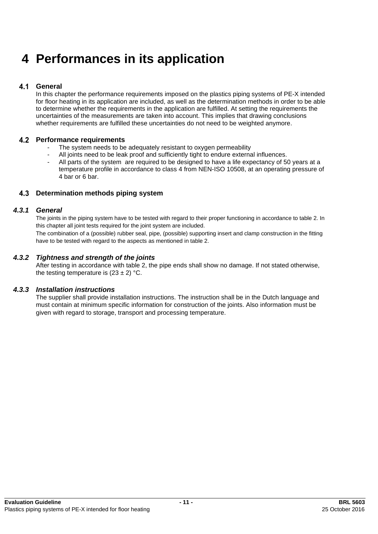# **4 Performances in its application**

#### $4.1$ **General**

In this chapter the performance requirements imposed on the plastics piping systems of PE-X intended for floor heating in its application are included, as well as the determination methods in order to be able to determine whether the requirements in the application are fulfilled. At setting the requirements the uncertainties of the measurements are taken into account. This implies that drawing conclusions whether requirements are fulfilled these uncertainties do not need to be weighted anymore.

### **Performance requirements**

- The system needs to be adequately resistant to oxygen permeability
- All joints need to be leak proof and sufficiently tight to endure external influences.
- All parts of the system are required to be designed to have a life expectancy of 50 years at a temperature profile in accordance to class 4 from NEN-ISO 10508, at an operating pressure of 4 bar or 6 bar.

#### **Determination methods piping system**

#### *4.3.1 General*

The joints in the piping system have to be tested with regard to their proper functioning in accordance to table 2. In this chapter all joint tests required for the joint system are included.

The combination of a (possible) rubber seal, pipe, (possible) supporting insert and clamp construction in the fitting have to be tested with regard to the aspects as mentioned in table 2.

#### *4.3.2 Tightness and strength of the joints*

After testing in accordance with table 2, the pipe ends shall show no damage. If not stated otherwise, the testing temperature is  $(23 \pm 2)$  °C.

#### *4.3.3 Installation instructions*

The supplier shall provide installation instructions. The instruction shall be in the Dutch language and must contain at minimum specific information for construction of the joints. Also information must be given with regard to storage, transport and processing temperature.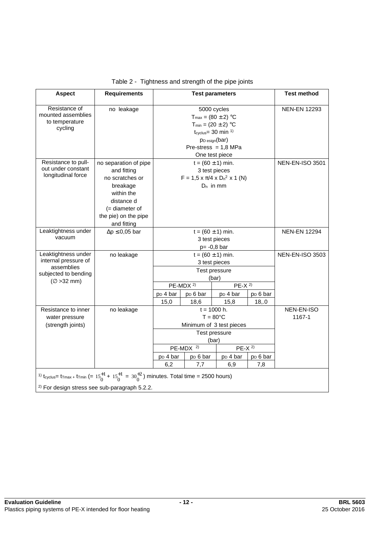| <b>Aspect</b>                                                                                                                                                  | <b>Requirements</b>      |                                                         |                           | <b>Test parameters</b>                           |                      | <b>Test method</b> |
|----------------------------------------------------------------------------------------------------------------------------------------------------------------|--------------------------|---------------------------------------------------------|---------------------------|--------------------------------------------------|----------------------|--------------------|
| Resistance of                                                                                                                                                  | no leakage               | 5000 cycles                                             |                           |                                                  | <b>NEN-EN 12293</b>  |                    |
| mounted assemblies                                                                                                                                             |                          |                                                         | $T_{max} = (80 \pm 2)$ °C |                                                  |                      |                    |
| to temperature                                                                                                                                                 |                          |                                                         | $T_{min} = (20 \pm 2)$ °C |                                                  |                      |                    |
| cycling                                                                                                                                                        |                          |                                                         |                           | $t_{\text{cyclus}} = 30 \text{ min}^{-1}$        |                      |                    |
|                                                                                                                                                                |                          |                                                         |                           | P <sub>D</sub> esign(bar)                        |                      |                    |
|                                                                                                                                                                |                          |                                                         |                           | Pre-stress = $1,8$ MPa                           |                      |                    |
|                                                                                                                                                                |                          |                                                         |                           | One test piece                                   |                      |                    |
| Resistance to pull-                                                                                                                                            | no separation of pipe    |                                                         | $t = (60 \pm 1)$ min.     |                                                  |                      | NEN-EN-ISO 3501    |
| out under constant                                                                                                                                             | and fitting              |                                                         |                           | 3 test pieces                                    |                      |                    |
| longitudinal force                                                                                                                                             | no scratches or          |                                                         |                           | $F = 1.5 \times \pi/4 \times D_n^2 \times 1$ (N) |                      |                    |
|                                                                                                                                                                | breakage                 |                                                         |                           | $D_n$ in mm                                      |                      |                    |
|                                                                                                                                                                | within the               |                                                         |                           |                                                  |                      |                    |
|                                                                                                                                                                | distance d               |                                                         |                           |                                                  |                      |                    |
|                                                                                                                                                                | $($ = diameter of        |                                                         |                           |                                                  |                      |                    |
|                                                                                                                                                                | the pie) on the pipe     |                                                         |                           |                                                  |                      |                    |
|                                                                                                                                                                | and fitting              |                                                         |                           |                                                  |                      |                    |
| Leaktightness under                                                                                                                                            | $\Delta p \leq 0.05$ bar | $t = (60 \pm 1)$ min.                                   |                           |                                                  | <b>NEN-EN 12294</b>  |                    |
| vacuum                                                                                                                                                         |                          | 3 test pieces                                           |                           |                                                  |                      |                    |
|                                                                                                                                                                |                          | $p = -0.8$ bar                                          |                           |                                                  |                      |                    |
| Leaktightness under<br>internal pressure of                                                                                                                    | no leakage               |                                                         | $t = (60 \pm 1)$ min.     |                                                  |                      | NEN-EN-ISO 3503    |
| assemblies                                                                                                                                                     |                          | 3 test pieces                                           |                           |                                                  |                      |                    |
| subjected to bending                                                                                                                                           |                          |                                                         |                           | Test pressure                                    |                      |                    |
| $(\varnothing > 32$ mm)                                                                                                                                        |                          | (bar)<br>PE-MDX <sup>2)</sup>                           |                           |                                                  |                      |                    |
|                                                                                                                                                                |                          |                                                         |                           | $PE-X$ <sup>2)</sup>                             |                      |                    |
|                                                                                                                                                                |                          | p <sub>D</sub> 4 bar                                    | p <sub>D</sub> 6 bar      | p <sub>D</sub> 4 bar                             | p <sub>D</sub> 6 bar |                    |
|                                                                                                                                                                |                          | 15,0                                                    | 18,6                      | 15,8                                             | 18, .0               |                    |
| Resistance to inner                                                                                                                                            | no leakage               |                                                         |                           | $t = 1000$ h.                                    |                      | NEN-EN-ISO         |
| water pressure                                                                                                                                                 |                          | $T = 80^{\circ}$ C                                      |                           |                                                  | 1167-1               |                    |
| (strength joints)                                                                                                                                              |                          | Minimum of 3 test pieces                                |                           |                                                  |                      |                    |
|                                                                                                                                                                |                          | Test pressure                                           |                           |                                                  |                      |                    |
|                                                                                                                                                                |                          | (bar)<br>$PE-MDX$ <sup>2)</sup><br>$PE-X$ <sup>2)</sup> |                           |                                                  |                      |                    |
|                                                                                                                                                                |                          |                                                         |                           |                                                  |                      |                    |
|                                                                                                                                                                |                          | p <sub>D</sub> 4 bar                                    | p <sub>D</sub> 6 bar      | p <sub>D</sub> 4 bar                             | p <sub>D</sub> 6 bar |                    |
|                                                                                                                                                                |                          | 6,2                                                     | 7,7                       | 6,9                                              | 7,8                  |                    |
| <sup>1)</sup> t <sub>cyclus</sub> = t <sub>Tmax +</sub> t <sub>Tmin</sub> (= $15^{+1}_{0}$ + $15^{+1}_{0}$ = $30^{+2}_{0}$ ) minutes. Total time = 2500 hours) |                          |                                                         |                           |                                                  |                      |                    |
| <sup>2)</sup> For design stress see sub-paragraph 5.2.2.                                                                                                       |                          |                                                         |                           |                                                  |                      |                    |

Table 2 - Tightness and strength of the pipe joints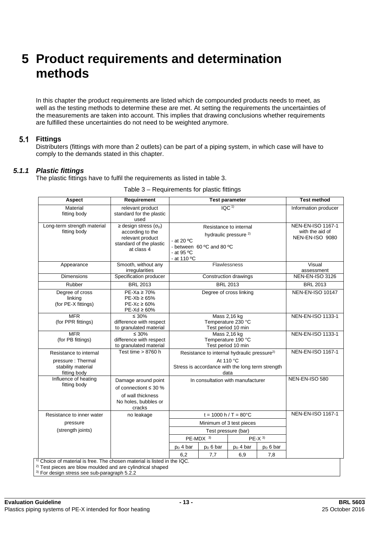# **5 Product requirements and determination methods**

In this chapter the product requirements are listed which de compounded products needs to meet, as well as the testing methods to determine these are met. At setting the requirements the uncertainties of the measurements are taken into account. This implies that drawing conclusions whether requirements are fulfilled these uncertainties do not need to be weighted anymore.

### **Fittings**

Distributers (fittings with more than 2 outlets) can be part of a piping system, in which case will have to comply to the demands stated in this chapter.

#### *5.1.1 Plastic fittings*

The plastic fittings have to fulfil the requirements as listed in table 3.

|                                                          | IOC <sup>1</sup>                                                                                                                 |                          |                            | Information producer                                                  |
|----------------------------------------------------------|----------------------------------------------------------------------------------------------------------------------------------|--------------------------|----------------------------|-----------------------------------------------------------------------|
|                                                          |                                                                                                                                  |                          |                            |                                                                       |
| - at 20 °C<br>- at 95 °C<br>- at 110 °C                  | hydraulic pressure <sup>2)</sup><br>- between 60 °C and 80 °C                                                                    | Resistance to internal   |                            | <b>NEN-EN-ISO 1167-1</b><br>with the aid of<br><b>NEN-EN-ISO 9080</b> |
| Flawlessness                                             |                                                                                                                                  | Visual<br>assessment     |                            |                                                                       |
| Construction drawings                                    |                                                                                                                                  |                          |                            | NEN-EN-ISO 3126                                                       |
|                                                          | <b>BRL 2013</b>                                                                                                                  |                          |                            | <b>BRL 2013</b>                                                       |
|                                                          | Degree of cross linking                                                                                                          |                          |                            | <b>NEN-EN-ISO 10147</b>                                               |
| Mass 2,16 kg<br>Temperature 230 °C<br>Test period 10 min |                                                                                                                                  | NEN-EN-ISO 1133-1        |                            |                                                                       |
| Mass 2,16 kg<br>Temperature 190 °C<br>Test period 10 min |                                                                                                                                  | <b>NEN-EN-ISO 1133-1</b> |                            |                                                                       |
|                                                          | Resistance to internal hydraulic pressure <sup>2)</sup><br>At 110 °C<br>Stress is accordance with the long term strength<br>data |                          |                            | <b>NEN-EN-ISO 1167-1</b>                                              |
| In consultation with manufacturer                        |                                                                                                                                  | NEN-EN-ISO 580           |                            |                                                                       |
| $t = 1000 h / T = 80^{\circ}C$                           |                                                                                                                                  |                          |                            | <b>NEN-EN-ISO 1167-1</b>                                              |
| Minimum of 3 test pieces                                 |                                                                                                                                  |                          |                            |                                                                       |
|                                                          |                                                                                                                                  |                          |                            |                                                                       |
|                                                          |                                                                                                                                  |                          |                            |                                                                       |
| p <sub>D</sub> 4 bar                                     | $pD 6$ bar                                                                                                                       | $pD$ 4 bar               | $p_D 6$ bar                |                                                                       |
| 6.2                                                      | 7,7                                                                                                                              |                          | 7,8                        |                                                                       |
|                                                          | <sup>1)</sup> Choice of material is free. The chosen material is listed in the IQC.                                              | $PE-MDX$ <sup>3)</sup>   | Test pressure (bar)<br>6,9 | $PE-X$ <sup>3)</sup>                                                  |

#### Table 3 – Requirements for plastic fittings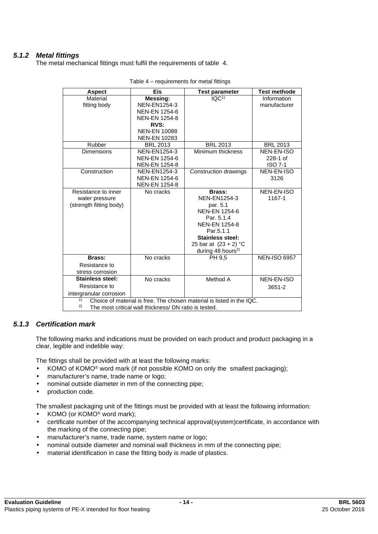# *5.1.2 Metal fittings*

The metal mechanical fittings must fulfil the requirements of table 4.

| <b>Aspect</b>                                                               | <b>Eis</b>           | <b>Test parameter</b>          | <b>Test methode</b> |
|-----------------------------------------------------------------------------|----------------------|--------------------------------|---------------------|
| Material                                                                    | Messing:             | $\overline{IQC}$ <sup>1)</sup> | Information         |
| fitting body                                                                | <b>NEN-EN1254-3</b>  |                                | manufacturer        |
|                                                                             | <b>NEN-EN 1254-6</b> |                                |                     |
|                                                                             | <b>NEN-EN 1254-8</b> |                                |                     |
|                                                                             | RVS:                 |                                |                     |
|                                                                             | <b>NEN-EN 10088</b>  |                                |                     |
|                                                                             | <b>NEN-EN 10283</b>  |                                |                     |
| Rubber                                                                      | <b>BRL 2013</b>      | <b>BRL 2013</b>                | <b>BRL 2013</b>     |
| <b>Dimensions</b>                                                           | <b>NEN-EN1254-3</b>  | Minimum thickness              | NEN-EN-ISO          |
|                                                                             | <b>NEN-EN 1254-6</b> |                                | $228-1$ of          |
|                                                                             | <b>NEN-EN 1254-8</b> |                                | <b>ISO 7-1</b>      |
| Construction                                                                | <b>NEN-EN1254-3</b>  | Construction drawings          | <b>NEN-EN-ISO</b>   |
|                                                                             | <b>NEN-EN 1254-6</b> |                                | 3126                |
|                                                                             | <b>NEN-EN 1254-8</b> |                                |                     |
| Resistance to inner                                                         | No cracks            | Brass:                         | <b>NEN-EN-ISO</b>   |
| water pressure                                                              |                      | <b>NEN-EN1254-3</b>            | 1167-1              |
| (strength fitting body)                                                     |                      | par. 5.1                       |                     |
|                                                                             |                      | <b>NEN-EN 1254-6</b>           |                     |
|                                                                             |                      | Par. 5.1.4                     |                     |
|                                                                             |                      | <b>NEN-EN 1254-8</b>           |                     |
|                                                                             |                      | Par.5.1.1                      |                     |
|                                                                             |                      | <b>Stainless steel:</b>        |                     |
|                                                                             |                      | 25 bar at $(23 + 2) °C$        |                     |
|                                                                             |                      | during 48 hours <sup>2)</sup>  |                     |
| Brass:                                                                      | No cracks            | PH 9,5                         | <b>NEN-ISO 6957</b> |
| Resistance to                                                               |                      |                                |                     |
| stress corrosion                                                            |                      |                                |                     |
| <b>Stainless steel:</b>                                                     | No cracks            | Method A                       | <b>NEN-EN-ISO</b>   |
| Resistance to                                                               |                      |                                | 3651-2              |
| intergranular corrosion                                                     |                      |                                |                     |
| 1)<br>Choice of material is free. The chosen material is listed in the IQC. |                      |                                |                     |
| 2)<br>The most critical wall thickness/ DN ratio is tested.                 |                      |                                |                     |

Table 4 – requirements for metal fittings

#### *5.1.3 Certification mark*

The following marks and indications must be provided on each product and product packaging in a clear, legible and indelible way:

The fittings shall be provided with at least the following marks:

- KOMO of KOMO® word mark (if not possible KOMO on only the smallest packaging);
- manufacturer's name, trade name or logo;
- nominal outside diameter in mm of the connecting pipe;
- production code.

The smallest packaging unit of the fittings must be provided with at least the following information:

- KOMO (or KOMO<sup>®</sup> word mark);
- certificate number of the accompanying technical approval(system)certificate, in accordance with the marking of the connecting pipe;
- manufacturer's name, trade name, system name or logo;
- nominal outside diameter and nominal wall thickness in mm of the connecting pipe;
- material identification in case the fitting body is made of plastics.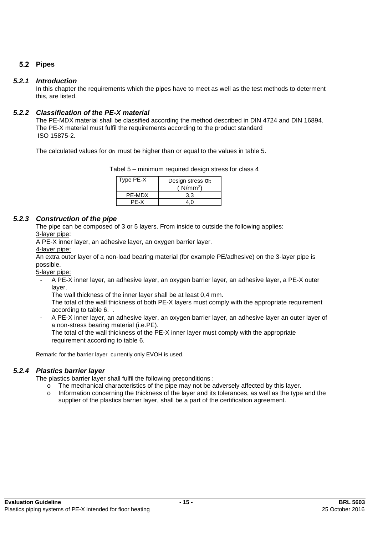# 5.2 Pipes

### *5.2.1 Introduction*

In this chapter the requirements which the pipes have to meet as well as the test methods to determent this, are listed.

### *5.2.2 Classification of the PE-X material*

The PE-MDX material shall be classified according the method described in DIN 4724 and DIN 16894. The PE-X material must fulfil the requirements according to the product standard ISO 15875-2.

The calculated values for  $\sigma_D$  must be higher than or equal to the values in table 5.

| Type PE-X | Design stress $\sigma_D$<br>(N/mm <sup>2</sup> ) |
|-----------|--------------------------------------------------|
| PF-MDX    |                                                  |
| PF-X      |                                                  |

### *5.2.3 Construction of the pipe*

The pipe can be composed of 3 or 5 layers. From inside to outside the following applies: 3-layer pipe:

A PE-X inner layer, an adhesive layer, an oxygen barrier layer.

#### 4-layer pipe:

An extra outer layer of a non-load bearing material (for example PE/adhesive) on the 3-layer pipe is possible.

5-layer pipe:

- A PE-X inner layer, an adhesive layer, an oxygen barrier layer, an adhesive layer, a PE-X outer layer.

The wall thickness of the inner layer shall be at least 0,4 mm.

The total of the wall thickness of both PE-X layers must comply with the appropriate requirement according to table 6. .

- A PE-X inner layer, an adhesive layer, an oxygen barrier layer, an adhesive layer an outer layer of a non-stress bearing material (i.e.PE).

The total of the wall thickness of the PE-X inner layer must comply with the appropriate requirement according to table 6.

Remark: for the barrier layer currently only EVOH is used.

### *5.2.4 Plastics barrier layer*

The plastics barrier layer shall fulfil the following preconditions :

- o The mechanical characteristics of the pipe may not be adversely affected by this layer.
- o Information concerning the thickness of the layer and its tolerances, as well as the type and the supplier of the plastics barrier layer, shall be a part of the certification agreement.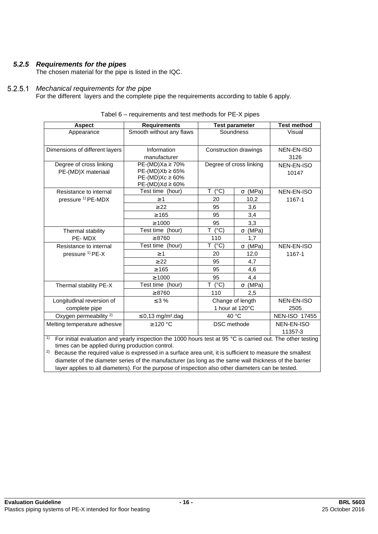# *5.2.5 Requirements for the pipes*

The chosen material for the pipe is listed in the IQC.

#### *Mechanical requirements for the pipe*   $5.2.5.1$

For the different layers and the complete pipe the requirements according to table 6 apply.

| <b>Aspect</b>                                                                                                               | <b>Requirements</b>                |                     | <b>Test parameter</b>   | <b>Test method</b>   |
|-----------------------------------------------------------------------------------------------------------------------------|------------------------------------|---------------------|-------------------------|----------------------|
| Appearance                                                                                                                  | Smooth without any flaws           |                     | Soundness               | Visual               |
|                                                                                                                             |                                    |                     |                         |                      |
|                                                                                                                             |                                    |                     |                         |                      |
| Dimensions of different layers                                                                                              | Information                        |                     | Construction drawings   | NEN-EN-ISO           |
|                                                                                                                             | manufacturer                       |                     |                         | 3126                 |
| Degree of cross linking                                                                                                     | $PE-(MD)Xa \ge 70\%$               |                     | Degree of cross linking | NEN-EN-ISO           |
| PE-(MD)X materiaal                                                                                                          | $PE-(MD)Xb \ge 65%$                |                     |                         | 10147                |
|                                                                                                                             | $PE-(MD)Xc \ge 60\%$               |                     |                         |                      |
|                                                                                                                             | $PE-(MD)Xd \geq 60\%$              | T.                  |                         |                      |
| Resistance to internal                                                                                                      | Test time (hour)                   | $(^{\circ}C)$       | $\sigma$ (MPa)          | NEN-EN-ISO           |
| pressure <sup>1)</sup> PE-MDX                                                                                               | $\geq 1$                           | 20                  | 10,2                    | 1167-1               |
|                                                                                                                             | $\geq$ 22                          | 95                  | 3,6                     |                      |
|                                                                                                                             | $\geq 165$                         | 95                  | 3,4                     |                      |
|                                                                                                                             | $\geq 1000$                        | 95                  | 3,3                     |                      |
| Thermal stability                                                                                                           | Test time (hour)                   | T.<br>$(^{\circ}C)$ | $\sigma$ (MPa)          |                      |
| PE-MDX                                                                                                                      | $\geq 8760$                        | 110                 | 1,7                     |                      |
| Resistance to internal                                                                                                      | Test time (hour)                   | T (°C)              | $\sigma$ (MPa)          | NEN-EN-ISO           |
| pressure <sup>1)</sup> PE-X                                                                                                 | $\geq 1$                           | 20                  | 12,0                    | 1167-1               |
|                                                                                                                             | $\geq$ 22                          | 95                  | 4,7                     |                      |
|                                                                                                                             | $\geq 165$                         | 95                  | 4,6                     |                      |
|                                                                                                                             | $\geq 1000$                        | 95                  | 4,4                     |                      |
| Thermal stability PE-X                                                                                                      | Test time (hour)                   | $(^{\circ}C)$<br>T. | $\sigma$ (MPa)          |                      |
|                                                                                                                             | $\geq 8760$                        | 110                 | 2,5                     |                      |
| Longitudinal reversion of                                                                                                   | $\leq$ 3 %                         |                     | Change of length        | NEN-EN-ISO           |
| complete pipe                                                                                                               |                                    |                     | 1 hour at 120°C         | 2505                 |
| Oxygen permeability <sup>2)</sup>                                                                                           | $\leq 0,13$ mg/m <sup>2</sup> .dag | 40 °C               |                         | <b>NEN-ISO 17455</b> |
| Melting temperature adhesive                                                                                                | ≥ 120 °C                           | <b>DSC</b> methode  |                         | NEN-EN-ISO           |
|                                                                                                                             |                                    |                     |                         | 11357-3              |
| 1)<br>For initial evaluation and vearly inspection the 1000 hours test at 95 $^{\circ}$ C is carried out. The other testing |                                    |                     |                         |                      |

| Tabel 6 – requirements and test methods for PE-X pipes |
|--------------------------------------------------------|
|--------------------------------------------------------|

<sup>1)</sup> For initial evaluation and yearly inspection the 1000 hours test at 95 °C is carried out. The other testing times can be applied during production control.

<sup>2)</sup> Because the required value is expressed in a surface area unit, it is sufficient to measure the smallest diameter of the diameter series of the manufacturer (as long as the same wall thickness of the barrier layer applies to all diameters). For the purpose of inspection also other diameters can be tested.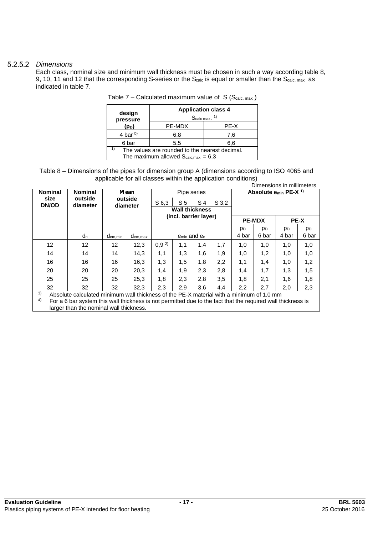### *Dimensions*

Each class, nominal size and minimum wall thickness must be chosen in such a way according table 8, 9, 10, 11 and 12 that the corresponding S-series or the S<sub>calc</sub> is equal or smaller than the S<sub>calc, max</sub> as indicated in table 7.

|                                                | <b>Application class 4</b> |      |  |
|------------------------------------------------|----------------------------|------|--|
| design<br>pressure                             | $S_{\text{calc max}}$ . 1) |      |  |
| (p <sub>D</sub> )                              | PE-MDX                     | PE-X |  |
| 4 bar $(b)$                                    | 6,8                        | 7.6  |  |
| 6 bar                                          | 5,5                        | 6,6  |  |
| The values are rounded to the nearest decimal. |                            |      |  |
| The maximum allowed $S_{calc,max} = 6.3$       |                            |      |  |

| Table 7 – Calculated maximum value of $S(Scalc, max)$ |
|-------------------------------------------------------|
|                                                       |

| Table 8 – Dimensions of the pipes for dimension group A (dimensions according to ISO 4065 and |  |
|-----------------------------------------------------------------------------------------------|--|
| applicable for all classes within the application conditions)                                 |  |

| Dimensions in millimeters |                                                                                          |                     |                                                                                                 |                       |                       |     |                |                |                                  |                |       |
|---------------------------|------------------------------------------------------------------------------------------|---------------------|-------------------------------------------------------------------------------------------------|-----------------------|-----------------------|-----|----------------|----------------|----------------------------------|----------------|-------|
| <b>Nominal</b>            | <b>Nominal</b>                                                                           |                     | Mean                                                                                            | Pipe series           |                       |     |                |                | Absolute $e_{min}$ PE-X $^{1}$ ) |                |       |
| size<br><b>DN/OD</b>      | outside<br>diameter                                                                      |                     | outside<br>S <sub>5</sub><br>S <sub>3,2</sub><br>S <sub>6,3</sub><br>S <sub>4</sub><br>diameter |                       |                       |     |                |                |                                  |                |       |
|                           |                                                                                          |                     |                                                                                                 |                       | <b>Wall thickness</b> |     |                |                |                                  |                |       |
|                           |                                                                                          |                     |                                                                                                 | (incl. barrier layer) |                       |     |                | <b>PE-MDX</b>  |                                  | <b>PE-X</b>    |       |
|                           |                                                                                          |                     |                                                                                                 |                       |                       |     | p <sub>D</sub> | p <sub>D</sub> | p <sub>D</sub>                   | p <sub>D</sub> |       |
|                           | $d_n$                                                                                    | d <sub>em,min</sub> | $d_{em,max}$                                                                                    |                       | $e_{min}$ and $e_n$   |     |                | 4 bar          | 6 bar                            | 4 bar          | 6 bar |
| $12 \overline{ }$         | 12                                                                                       | 12                  | 12,3                                                                                            | $0,9^{2}$             | 1,1                   | 1,4 | 1,7            | 1,0            | 1,0                              | 1,0            | 1,0   |
| 14                        | 14                                                                                       | 14                  | 14,3                                                                                            | 1,1                   | 1,3                   | 1,6 | 1.9            | 1,0            | 1,2                              | 1,0            | 1,0   |
| 16                        | 16                                                                                       | 16                  | 16,3                                                                                            | 1,3                   | 1,5                   | 1,8 | 2,2            | 1,1            | 1,4                              | 1.0            | 1,2   |
| 20                        | 20                                                                                       | 20                  | 20,3                                                                                            | 1,4                   | 1,9                   | 2,3 | 2,8            | 1,4            | 1,7                              | 1,3            | 1,5   |
| 25                        | 25                                                                                       | 25                  | 25,3                                                                                            | 1,8                   | 2,3                   | 2,8 | 3,5            | 1,8            | 2,1                              | 1,6            | 1,8   |
| 32                        | 32                                                                                       | 32                  | 32,3                                                                                            | 2,3                   | 2,9                   | 3,6 | 4,4            | 2,2            | 2,7                              | 2,0            | 2,3   |
| 3)<br>$\Lambda$           | Absolute calculated minimum wall thickness of the PE-X material with a minimum of 1.0 mm |                     |                                                                                                 |                       |                       |     |                |                |                                  |                |       |

 $4$  For a 6 bar system this wall thickness is not permitted due to the fact that the required wall thickness is larger than the nominal wall thickness.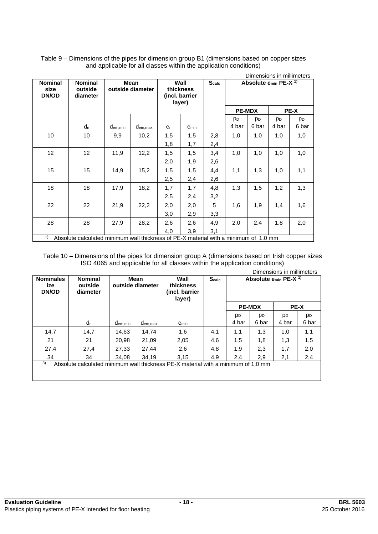|                                        |                                                                                                               | Dimensions in millimeters       |         |                |                                               |                   |                |                |                                              |                |
|----------------------------------------|---------------------------------------------------------------------------------------------------------------|---------------------------------|---------|----------------|-----------------------------------------------|-------------------|----------------|----------------|----------------------------------------------|----------------|
| <b>Nominal</b><br>size<br><b>DN/OD</b> | <b>Nominal</b><br>outside<br>diameter                                                                         | <b>Mean</b><br>outside diameter |         |                | Wall<br>thickness<br>(incl. barrier<br>layer) | S <sub>calc</sub> |                |                | Absolute e <sub>min</sub> PE-X <sup>1)</sup> |                |
|                                        |                                                                                                               |                                 |         |                |                                               |                   | <b>PE-MDX</b>  |                |                                              | PE-X           |
|                                        |                                                                                                               |                                 |         |                |                                               |                   | p <sub>D</sub> | p <sub>D</sub> | p <sub>D</sub>                               | p <sub>D</sub> |
|                                        | d <sub>n</sub>                                                                                                | d <sub>em,min</sub>             | dem,max | e <sub>n</sub> | e <sub>min</sub>                              |                   | 4 bar          | 6 bar          | 4 bar                                        | 6 bar          |
| 10                                     | 10                                                                                                            | 9,9                             | 10,2    | 1,5            | 1,5                                           | 2,8               | 1,0            | 1,0            | 1,0                                          | 1,0            |
|                                        |                                                                                                               |                                 |         | 1,8            | 1,7                                           | 2,4               |                |                |                                              |                |
| 12                                     | 12                                                                                                            | 11,9                            | 12,2    | 1,5            | 1,5                                           | 3,4               | 1,0            | 1,0            | 1,0                                          | 1,0            |
|                                        |                                                                                                               |                                 |         | 2,0            | 1,9                                           | 2,6               |                |                |                                              |                |
| 15                                     | 15                                                                                                            | 14,9                            | 15,2    | 1,5            | 1,5                                           | 4,4               | 1,1            | 1,3            | 1,0                                          | 1,1            |
|                                        |                                                                                                               |                                 |         | 2,5            | 2,4                                           | 2,6               |                |                |                                              |                |
| 18                                     | 18                                                                                                            | 17,9                            | 18,2    | 1,7            | 1,7                                           | 4,8               | 1,3            | 1,5            | 1,2                                          | 1,3            |
|                                        |                                                                                                               |                                 |         | 2,5            | 2,4                                           | 3,2               |                |                |                                              |                |
| 22                                     | 22                                                                                                            | 21,9                            | 22,2    | 2,0            | 2,0                                           | 5                 | 1,6            | 1,9            | 1,4                                          | 1,6            |
|                                        |                                                                                                               |                                 |         | 3,0            | 2,9                                           | 3,3               |                |                |                                              |                |
| 28                                     | 28                                                                                                            | 27,9                            | 28,2    | 2,6            | 2,6                                           | 4,9               | 2,0            | 2,4            | 1,8                                          | 2,0            |
|                                        | $\phi$ . About the polarization including the distribution of DE V menterial with a main increase of A.Q ment |                                 |         | 4,0            | 3,9                                           | 3,1               |                |                |                                              |                |

Table 9 – Dimensions of the pipes for dimension group B1 (dimensions based on copper sizes and applicable for all classes within the application conditions)

1) Absolute calculated minimum wall thickness of PE-X material with a minimum of 1.0 mm

Table 10 – Dimensions of the pipes for dimension group A (dimensions based on Irish copper sizes ISO 4065 and applicable for all classes within the application conditions)

| Dimensions in millimeters                                                               |                                       |                                 |              |                                               |              |                              |                                  |                |                |
|-----------------------------------------------------------------------------------------|---------------------------------------|---------------------------------|--------------|-----------------------------------------------|--------------|------------------------------|----------------------------------|----------------|----------------|
| <b>Nominales</b><br>ize<br><b>DN/OD</b>                                                 | <b>Nominal</b><br>outside<br>diameter | <b>Mean</b><br>outside diameter |              | Wall<br>thickness<br>(incl. barrier<br>layer) | <b>Scalc</b> |                              | Absolute $e_{min}$ PE-X $^{1}$ ) |                |                |
|                                                                                         |                                       |                                 |              |                                               |              | <b>PE-MDX</b><br><b>PE-X</b> |                                  |                |                |
|                                                                                         |                                       |                                 |              |                                               |              | p <sub>D</sub>               | p <sub>D</sub>                   | p <sub>D</sub> | p <sub>D</sub> |
|                                                                                         | $d_n$                                 | d <sub>em,min</sub>             | $d_{em,max}$ | e <sub>min</sub>                              |              | 4 bar                        | 6 bar                            | 4 bar          | 6 bar          |
| 14,7                                                                                    | 14,7                                  | 14,63                           | 14,74        | 1,6                                           | 4,1          | 1,1                          | 1,3                              | 1,0            | 1,1            |
| 21                                                                                      | 21                                    | 20,98                           | 21,09        | 2,05                                          | 4,6          | 1,5                          | 1,8                              | 1,3            | 1,5            |
| 27,4                                                                                    | 27,4                                  | 27,33                           | 27,44        | 2,6                                           | 4,8          | 1,9                          | 2,3                              | 1,7            | 2,0            |
| 34                                                                                      | 34                                    | 34,08                           | 34,19        | 3,15                                          | 4,9          | 2,4                          | 2,9                              | 2,1            | 2,4            |
| 3)<br>Absolute calculated minimum wall thickness PE-X material with a minimum of 1.0 mm |                                       |                                 |              |                                               |              |                              |                                  |                |                |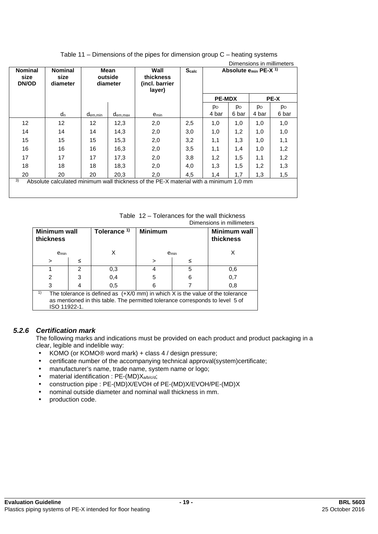| <b>Nominal</b><br>size<br><b>DN/OD</b>                                                      | <b>Nominal</b><br>size<br>diameter |                   | Mean<br>outside<br>diameter | Wall<br>thickness<br>(incl. barrier<br>layer) | <b>Scalc</b> | Dimensions in millimeters<br>Absolute $e_{min}$ PE-X $^{1}$ |                |                |                |
|---------------------------------------------------------------------------------------------|------------------------------------|-------------------|-----------------------------|-----------------------------------------------|--------------|-------------------------------------------------------------|----------------|----------------|----------------|
|                                                                                             |                                    |                   |                             |                                               |              | <b>PE-MDX</b>                                               |                |                | <b>PE-X</b>    |
|                                                                                             |                                    |                   |                             |                                               |              | p <sub>D</sub>                                              | p <sub>D</sub> | p <sub>D</sub> | p <sub>D</sub> |
|                                                                                             | $d_n$                              | $d_{em,min}$      | $d_{em,max}$                | $e_{min}$                                     |              | 4 bar                                                       | 6 bar          | 4 bar          | 6 bar          |
| 12                                                                                          | $12 \overline{ }$                  | $12 \overline{ }$ | 12,3                        | 2,0                                           | 2,5          | 1,0                                                         | 1,0            | 1,0            | 1,0            |
| 14                                                                                          | 14                                 | 14                | 14,3                        | 2,0                                           | 3,0          | 1,0                                                         | 1,2            | 1,0            | 1,0            |
| 15                                                                                          | 15                                 | 15                | 15,3                        | 2,0                                           | 3,2          | 1,1                                                         | 1,3            | 1,0            | 1,1            |
| 16                                                                                          | 16                                 | 16                | 16,3                        | 2,0                                           | 3,5          | 1,1                                                         | 1,4            | 1,0            | 1,2            |
| 17                                                                                          | 17                                 | 17                | 17,3                        | 2,0                                           | 3,8          | 1,2                                                         | 1,5            | 1,1            | 1,2            |
| 18                                                                                          | 18                                 | 18                | 18,3                        | 2,0                                           | 4,0          | 1,3                                                         | 1,5            | 1,2            | 1,3            |
| 20                                                                                          | 20                                 | 20                | 20,3                        | 2,0                                           | 4,5          | 1,4                                                         | 1,7            | 1,3            | 1,5            |
| 3)<br>Absolute calculated minimum wall thickness of the PE-X material with a minimum 1.0 mm |                                    |                   |                             |                                               |              |                                                             |                |                |                |

# Table 11 – Dimensions of the pipes for dimension group C – heating systems

Table 12 – Tolerances for the wall thickness Dimensions in millimeters

| PINGRAM IN THILIHING IS                                                                                                                                                                 |   |                         |                         |   |                                  |  |  |
|-----------------------------------------------------------------------------------------------------------------------------------------------------------------------------------------|---|-------------------------|-------------------------|---|----------------------------------|--|--|
| Minimum wall<br>thickness                                                                                                                                                               |   | Tolerance <sup>1)</sup> | <b>Minimum</b>          |   | <b>Minimum wall</b><br>thickness |  |  |
| emin                                                                                                                                                                                    |   |                         | <b>e</b> <sub>min</sub> |   | х                                |  |  |
| >                                                                                                                                                                                       |   |                         | ≤<br>$\, > \,$          |   |                                  |  |  |
|                                                                                                                                                                                         | 2 | 0,3                     |                         | 5 | 0,6                              |  |  |
| 2                                                                                                                                                                                       |   | 0,4                     | 5                       | 6 | 0,7                              |  |  |
| 3                                                                                                                                                                                       |   | 0,5                     | 6                       |   | 0,8                              |  |  |
| 1)<br>The tolerance is defined as $(+X/0$ mm) in which X is the value of the tolerance<br>as mentioned in this table. The permitted tolerance corresponds to level 5 of<br>ISO 11922-1. |   |                         |                         |   |                                  |  |  |

#### *5.2.6 Certification mark*

The following marks and indications must be provided on each product and product packaging in a clear, legible and indelible way:

- KOMO (or KOMO® word mark) + class 4 / design pressure;
- certificate number of the accompanying technical approval(system)certificate;
- manufacturer's name, trade name, system name or logo;
- material identification : PE-(MD)Xa/b/c/d;
- construction pipe : PE-(MD)X/EVOH of PE-(MD)X/EVOH/PE-(MD)X
- nominal outside diameter and nominal wall thickness in mm.
- production code.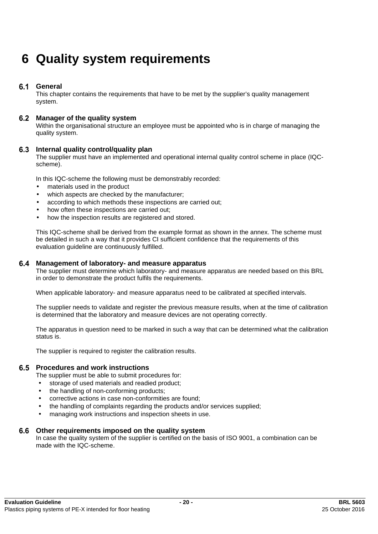# **6 Quality system requirements**

#### $6.1$ **General**

This chapter contains the requirements that have to be met by the supplier's quality management system.

#### **Manager of the quality system**

Within the organisational structure an employee must be appointed who is in charge of managing the quality system.

#### **Internal quality control/quality plan**

The supplier must have an implemented and operational internal quality control scheme in place (IQCscheme).

In this IQC-scheme the following must be demonstrably recorded:

- materials used in the product
- which aspects are checked by the manufacturer;
- according to which methods these inspections are carried out;
- how often these inspections are carried out;
- how the inspection results are registered and stored.

This IQC-scheme shall be derived from the example format as shown in the annex. The scheme must be detailed in such a way that it provides CI sufficient confidence that the requirements of this evaluation guideline are continuously fulfilled.

#### **Management of laboratory- and measure apparatus**

The supplier must determine which laboratory- and measure apparatus are needed based on this BRL in order to demonstrate the product fulfils the requirements.

When applicable laboratory- and measure apparatus need to be calibrated at specified intervals.

The supplier needs to validate and register the previous measure results, when at the time of calibration is determined that the laboratory and measure devices are not operating correctly.

The apparatus in question need to be marked in such a way that can be determined what the calibration status is.

The supplier is required to register the calibration results.

#### **Procedures and work instructions**

The supplier must be able to submit procedures for:

- storage of used materials and readied product;
- the handling of non-conforming products;
- corrective actions in case non-conformities are found;
- the handling of complaints regarding the products and/or services supplied;
- managing work instructions and inspection sheets in use.

#### **Other requirements imposed on the quality system**

In case the quality system of the supplier is certified on the basis of ISO 9001, a combination can be made with the IQC-scheme.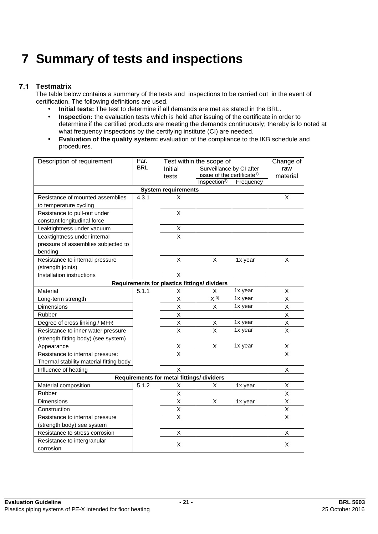# **7 Summary of tests and inspections**

#### $7.1$ **Testmatrix**

The table below contains a summary of the tests and inspections to be carried out in the event of certification. The following definitions are used.

- **Initial tests:** The test to determine if all demands are met as stated in the BRL.
- **Inspection:** the evaluation tests which is held after issuing of the certificate in order to determine if the certified products are meeting the demands continuously; thereby is lo noted at what frequency inspections by the certifying institute (CI) are needed.
- **Evaluation of the quality system:** evaluation of the compliance to the IKB schedule and procedures.

| Description of requirement              | Par.       |                                              | Test within the scope of               |           | Change of               |
|-----------------------------------------|------------|----------------------------------------------|----------------------------------------|-----------|-------------------------|
|                                         | <b>BRL</b> | Initial                                      | Surveillance by CI after               |           | raw                     |
|                                         |            | tests                                        | issue of the certificate <sup>1)</sup> |           | material                |
|                                         |            |                                              | Inspection <sup>2)</sup>               | Frequency |                         |
|                                         |            | <b>System requirements</b>                   |                                        |           |                         |
| Resistance of mounted assemblies        | 4.3.1      | X                                            |                                        |           | X                       |
| to temperature cycling                  |            |                                              |                                        |           |                         |
| Resistance to pull-out under            |            | X                                            |                                        |           |                         |
| constant longitudinal force             |            |                                              |                                        |           |                         |
| Leaktightness under vacuum              |            | Х                                            |                                        |           |                         |
| Leaktightness under internal            |            | X                                            |                                        |           |                         |
| pressure of assemblies subjected to     |            |                                              |                                        |           |                         |
| bending                                 |            |                                              |                                        |           |                         |
| Resistance to internal pressure         |            | X                                            | Χ                                      | 1x year   | X                       |
| (strength joints)                       |            |                                              |                                        |           |                         |
| Installation instructions               |            | X                                            |                                        |           |                         |
|                                         |            | Requirements for plastics fittings/ dividers |                                        |           |                         |
| Material                                | 5.1.1      | Χ                                            | х                                      | 1x year   | X                       |
| Long-term strength                      |            | Χ                                            | $X^{3}$                                | 1x year   | X                       |
| <b>Dimensions</b>                       |            | X                                            | X                                      | 1x year   | X                       |
| Rubber                                  |            | Χ                                            |                                        |           | Χ                       |
| Degree of cross linking / MFR           |            | Χ                                            | X                                      | 1x year   | Χ                       |
| Resistance to inner water pressure      |            | X                                            | X                                      | 1x year   | X                       |
| (strength fitting body) (see system)    |            |                                              |                                        |           |                         |
| Appearance                              |            | Χ                                            | Χ                                      | 1x year   | X                       |
| Resistance to internal pressure:        |            | $\overline{\mathsf{x}}$                      |                                        |           | $\overline{\mathsf{x}}$ |
| Thermal stability material fitting body |            |                                              |                                        |           |                         |
| Influence of heating                    |            | X                                            |                                        |           | X                       |
|                                         |            | Requirements for metal fittings/ dividers    |                                        |           |                         |
| Material composition                    | 5.1.2      | Χ                                            | Χ                                      | 1x year   | X                       |
| Rubber                                  |            | Χ                                            |                                        |           | X                       |
| Dimensions                              |            | X                                            | Χ                                      | 1x year   | X                       |
| Construction                            |            | X                                            |                                        |           | X                       |
| Resistance to internal pressure         |            | X                                            |                                        |           | X                       |
| (strength body) see system              |            |                                              |                                        |           |                         |
| Resistance to stress corrosion          |            | X                                            |                                        |           | X                       |
| Resistance to intergranular             |            |                                              |                                        |           |                         |
| corrosion                               |            | Χ                                            |                                        |           | X                       |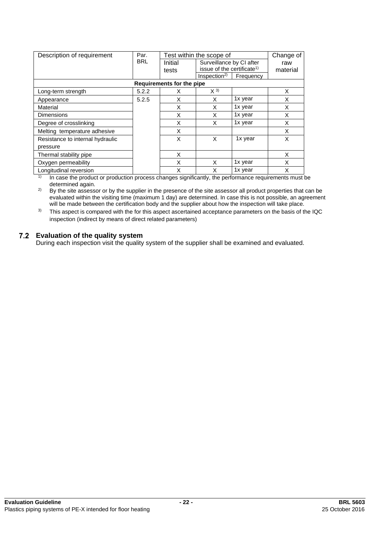| Description of requirement       | Par.       |                           | Test within the scope of               |                          | Change of |  |
|----------------------------------|------------|---------------------------|----------------------------------------|--------------------------|-----------|--|
|                                  | <b>BRL</b> | Initial                   |                                        | Surveillance by CI after |           |  |
|                                  |            | tests                     | issue of the certificate <sup>1)</sup> |                          | material  |  |
|                                  |            |                           | Inspection <sup>2</sup>                | Frequency                |           |  |
|                                  |            | Requirements for the pipe |                                        |                          |           |  |
| Long-term strength               | 5.2.2      | X                         | $X^{(3)}$                              |                          | X         |  |
| Appearance                       | 5.2.5      | X                         | X                                      | 1x year                  | X         |  |
| Material                         |            | X                         | X                                      | 1x year                  | X         |  |
| <b>Dimensions</b>                |            | X                         | X                                      | 1x year                  | X         |  |
| Degree of crosslinking           |            | X                         | X                                      | 1x year                  | X         |  |
| Melting temperature adhesive     |            | X                         |                                        |                          | X         |  |
| Resistance to internal hydraulic |            | X                         | X                                      | 1x year                  | X         |  |
| pressure                         |            |                           |                                        |                          |           |  |
| Thermal stability pipe           |            | X                         |                                        |                          | X         |  |
| Oxygen permeability              |            | X                         | X                                      | 1x year                  | X         |  |
| Longitudinal reversion           |            | X                         | X                                      | 1x year                  | X         |  |

 $1)$  In case the product or production process changes significantly, the performance requirements must be determined again.

<sup>2)</sup> By the site assessor or by the supplier in the presence of the site assessor all product properties that can be evaluated within the visiting time (maximum 1 day) are determined. In case this is not possible, an agreement will be made between the certification body and the supplier about how the inspection will take place.

<sup>3)</sup> This aspect is compared with the for this aspect ascertained acceptance parameters on the basis of the IQC inspection (indirect by means of direct related parameters)

#### **Evaluation of the quality system**

During each inspection visit the quality system of the supplier shall be examined and evaluated.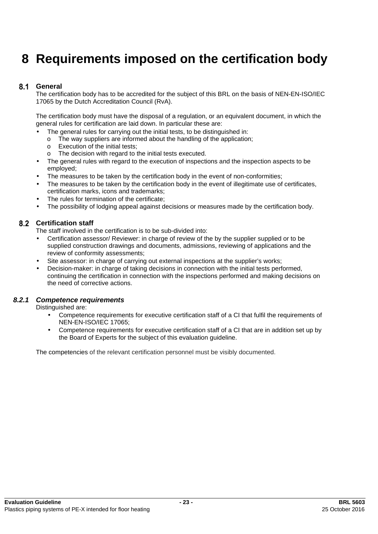# **8 Requirements imposed on the certification body**

#### $8.1$ **General**

The certification body has to be accredited for the subject of this BRL on the basis of NEN-EN-ISO/IEC 17065 by the Dutch Accreditation Council (RvA).

The certification body must have the disposal of a regulation, or an equivalent document, in which the general rules for certification are laid down. In particular these are:

- The general rules for carrying out the initial tests, to be distinguished in:
- $\circ$  The way suppliers are informed about the handling of the application:
- o Execution of the initial tests;
- o The decision with regard to the initial tests executed.
- The general rules with regard to the execution of inspections and the inspection aspects to be employed;
- The measures to be taken by the certification body in the event of non-conformities;
- The measures to be taken by the certification body in the event of illegitimate use of certificates, certification marks, icons and trademarks;
- The rules for termination of the certificate:
- The possibility of lodging appeal against decisions or measures made by the certification body.

#### **Certification staff**

The staff involved in the certification is to be sub-divided into:

- Certification assessor/ Reviewer: in charge of review of the by the supplier supplied or to be supplied construction drawings and documents, admissions, reviewing of applications and the review of conformity assessments;
- Site assessor: in charge of carrying out external inspections at the supplier's works;
- Decision-maker: in charge of taking decisions in connection with the initial tests performed, continuing the certification in connection with the inspections performed and making decisions on the need of corrective actions.

#### *8.2.1 Competence requirements*

Distinguished are:

- Competence requirements for executive certification staff of a CI that fulfil the requirements of NEN-EN-ISO/IEC 17065;
- Competence requirements for executive certification staff of a CI that are in addition set up by the Board of Experts for the subject of this evaluation guideline.

The competencies of the relevant certification personnel must be visibly documented.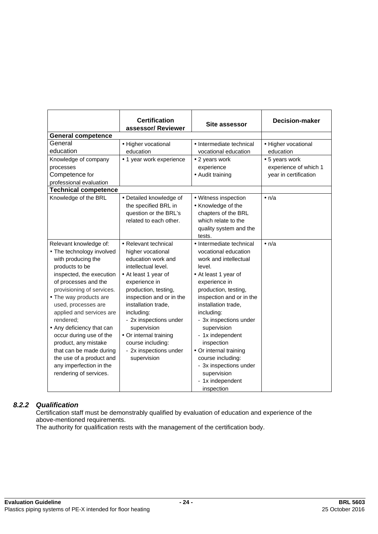|                                                                                                                                                                                                                                                                                                                                                                                                                                                                    | <b>Certification</b><br>assessor/Reviewer                                                                                                                                                                                                                                                                                                                 | <b>Site assessor</b>                                                                                                                                                                                                                                                                                                                                                                                                       | <b>Decision-maker</b>                                            |
|--------------------------------------------------------------------------------------------------------------------------------------------------------------------------------------------------------------------------------------------------------------------------------------------------------------------------------------------------------------------------------------------------------------------------------------------------------------------|-----------------------------------------------------------------------------------------------------------------------------------------------------------------------------------------------------------------------------------------------------------------------------------------------------------------------------------------------------------|----------------------------------------------------------------------------------------------------------------------------------------------------------------------------------------------------------------------------------------------------------------------------------------------------------------------------------------------------------------------------------------------------------------------------|------------------------------------------------------------------|
| <b>General competence</b>                                                                                                                                                                                                                                                                                                                                                                                                                                          |                                                                                                                                                                                                                                                                                                                                                           |                                                                                                                                                                                                                                                                                                                                                                                                                            |                                                                  |
| General<br>education                                                                                                                                                                                                                                                                                                                                                                                                                                               | • Higher vocational<br>education                                                                                                                                                                                                                                                                                                                          | • Intermediate technical<br>vocational education                                                                                                                                                                                                                                                                                                                                                                           | • Higher vocational<br>education                                 |
| Knowledge of company<br>processes<br>Competence for<br>professional evaluation                                                                                                                                                                                                                                                                                                                                                                                     | • 1 year work experience                                                                                                                                                                                                                                                                                                                                  | • 2 years work<br>experience<br>• Audit training                                                                                                                                                                                                                                                                                                                                                                           | • 5 years work<br>experience of which 1<br>year in certification |
| <b>Technical competence</b>                                                                                                                                                                                                                                                                                                                                                                                                                                        |                                                                                                                                                                                                                                                                                                                                                           |                                                                                                                                                                                                                                                                                                                                                                                                                            |                                                                  |
| Knowledge of the BRL                                                                                                                                                                                                                                                                                                                                                                                                                                               | • Detailed knowledge of<br>the specified BRL in<br>question or the BRL's<br>related to each other.                                                                                                                                                                                                                                                        | • Witness inspection<br>• Knowledge of the<br>chapters of the BRL<br>which relate to the<br>quality system and the<br>tests.                                                                                                                                                                                                                                                                                               | $\bullet$ n/a                                                    |
| Relevant knowledge of:<br>• The technology involved<br>with producing the<br>products to be<br>inspected, the execution<br>of processes and the<br>provisioning of services.<br>• The way products are<br>used, processes are<br>applied and services are<br>rendered;<br>• Any deficiency that can<br>occur during use of the<br>product, any mistake<br>that can be made during<br>the use of a product and<br>any imperfection in the<br>rendering of services. | • Relevant technical<br>higher vocational<br>education work and<br>intellectual level.<br>• At least 1 year of<br>experience in<br>production, testing,<br>inspection and or in the<br>installation trade.<br>including:<br>- 2x inspections under<br>supervision<br>• Or internal training<br>course including:<br>- 2x inspections under<br>supervision | • Intermediate technical<br>vocational education<br>work and intellectual<br>level.<br>• At least 1 year of<br>experience in<br>production, testing,<br>inspection and or in the<br>installation trade,<br>including:<br>- 3x inspections under<br>supervision<br>- 1x independent<br>inspection<br>• Or internal training<br>course including:<br>- 3x inspections under<br>supervision<br>- 1x independent<br>inspection | $\bullet$ n/a                                                    |

# *8.2.2 Qualification*

Certification staff must be demonstrably qualified by evaluation of education and experience of the above-mentioned requirements.

The authority for qualification rests with the management of the certification body.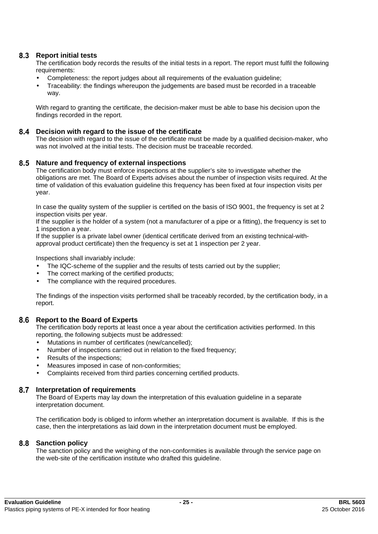### **Report initial tests**

The certification body records the results of the initial tests in a report. The report must fulfil the following requirements:

- Completeness: the report judges about all requirements of the evaluation guideline;
- Traceability: the findings whereupon the judgements are based must be recorded in a traceable way.

With regard to granting the certificate, the decision-maker must be able to base his decision upon the findings recorded in the report.

#### **Decision with regard to the issue of the certificate**

The decision with regard to the issue of the certificate must be made by a qualified decision-maker, who was not involved at the initial tests. The decision must be traceable recorded.

#### **Nature and frequency of external inspections**

The certification body must enforce inspections at the supplier's site to investigate whether the obligations are met. The Board of Experts advises about the number of inspection visits required. At the time of validation of this evaluation guideline this frequency has been fixed at four inspection visits per year.

In case the quality system of the supplier is certified on the basis of ISO 9001, the frequency is set at 2 inspection visits per year.

If the supplier is the holder of a system (not a manufacturer of a pipe or a fitting), the frequency is set to 1 inspection a year.

If the supplier is a private label owner (identical certificate derived from an existing technical-withapproval product certificate) then the frequency is set at 1 inspection per 2 year.

Inspections shall invariably include:

- The IQC-scheme of the supplier and the results of tests carried out by the supplier;
- The correct marking of the certified products;
- The compliance with the required procedures.

The findings of the inspection visits performed shall be traceably recorded, by the certification body, in a report.

#### **Report to the Board of Experts**

The certification body reports at least once a year about the certification activities performed. In this reporting, the following subjects must be addressed:

- Mutations in number of certificates (new/cancelled);
- Number of inspections carried out in relation to the fixed frequency;
- Results of the inspections:
- Measures imposed in case of non-conformities;
- Complaints received from third parties concerning certified products.

#### **Interpretation of requirements**

The Board of Experts may lay down the interpretation of this evaluation guideline in a separate interpretation document.

The certification body is obliged to inform whether an interpretation document is available. If this is the case, then the interpretations as laid down in the interpretation document must be employed.

#### **Sanction policy**

The sanction policy and the weighing of the non-conformities is available through the service page on the web-site of the certification institute who drafted this guideline.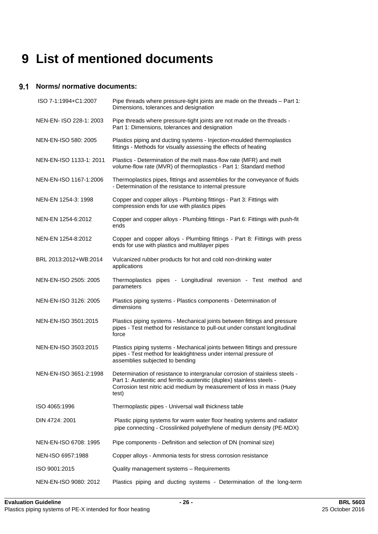# **9 List of mentioned documents**

#### **Norms/ normative documents:**

| ISO 7-1:1994+C1:2007    | Pipe threads where pressure-tight joints are made on the threads - Part 1:<br>Dimensions, tolerances and designation                                                                                                                      |
|-------------------------|-------------------------------------------------------------------------------------------------------------------------------------------------------------------------------------------------------------------------------------------|
| NEN-EN- ISO 228-1: 2003 | Pipe threads where pressure-tight joints are not made on the threads -<br>Part 1: Dimensions, tolerances and designation                                                                                                                  |
| NEN-EN-ISO 580: 2005    | Plastics piping and ducting systems - Injection-moulded thermoplastics<br>fittings - Methods for visually assessing the effects of heating                                                                                                |
| NEN-EN-ISO 1133-1: 2011 | Plastics - Determination of the melt mass-flow rate (MFR) and melt<br>volume-flow rate (MVR) of thermoplastics - Part 1: Standard method                                                                                                  |
| NEN-EN-ISO 1167-1:2006  | Thermoplastics pipes, fittings and assemblies for the conveyance of fluids<br>- Determination of the resistance to internal pressure                                                                                                      |
| NEN-EN 1254-3: 1998     | Copper and copper alloys - Plumbing fittings - Part 3: Fittings with<br>compression ends for use with plastics pipes                                                                                                                      |
| NEN-EN 1254-6:2012      | Copper and copper alloys - Plumbing fittings - Part 6: Fittings with push-fit<br>ends                                                                                                                                                     |
| NEN-EN 1254-8:2012      | Copper and copper alloys - Plumbing fittings - Part 8: Fittings with press<br>ends for use with plastics and multilayer pipes                                                                                                             |
| BRL 2013:2012+WB:2014   | Vulcanized rubber products for hot and cold non-drinking water<br>applications                                                                                                                                                            |
| NEN-EN-ISO 2505: 2005   | Thermoplastics pipes - Longitudinal reversion - Test method and<br>parameters                                                                                                                                                             |
| NEN-EN-ISO 3126: 2005   | Plastics piping systems - Plastics components - Determination of<br>dimensions                                                                                                                                                            |
| NEN-EN-ISO 3501:2015    | Plastics piping systems - Mechanical joints between fittings and pressure<br>pipes - Test method for resistance to pull-out under constant longitudinal<br>force                                                                          |
| NEN-EN-ISO 3503:2015    | Plastics piping systems - Mechanical joints between fittings and pressure<br>pipes - Test method for leaktightness under internal pressure of<br>assemblies subjected to bending                                                          |
| NEN-EN-ISO 3651-2:1998  | Determination of resistance to intergranular corrosion of stainless steels -<br>Part 1: Austenitic and ferritic-austenitic (duplex) stainless steels -<br>Corrosion test nitric acid medium by measurement of loss in mass (Huey<br>test) |
| ISO 4065:1996           | Thermoplastic pipes - Universal wall thickness table                                                                                                                                                                                      |
| DIN 4724: 2001          | Plastic piping systems for warm water floor heating systems and radiator<br>pipe connecting - Crosslinked polyethylene of medium density (PE-MDX)                                                                                         |
| NEN-EN-ISO 6708: 1995   | Pipe components - Definition and selection of DN (nominal size)                                                                                                                                                                           |
| NEN-ISO 6957:1988       | Copper alloys - Ammonia tests for stress corrosion resistance                                                                                                                                                                             |
| ISO 9001:2015           | Quality management systems - Requirements                                                                                                                                                                                                 |
| NEN-EN-ISO 9080: 2012   | Plastics piping and ducting systems - Determination of the long-term                                                                                                                                                                      |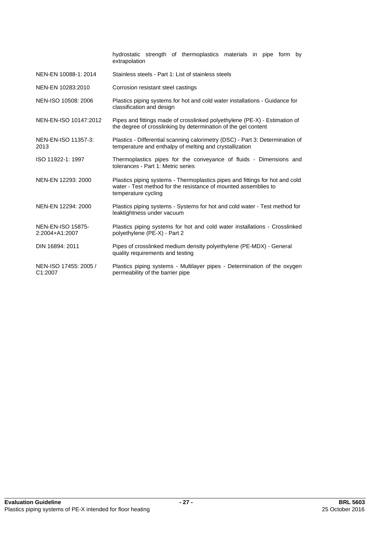|                                               | hydrostatic strength of thermoplastics materials in pipe form by<br>extrapolation                                                                                      |
|-----------------------------------------------|------------------------------------------------------------------------------------------------------------------------------------------------------------------------|
| NEN-EN 10088-1: 2014                          | Stainless steels - Part 1: List of stainless steels                                                                                                                    |
| NEN-EN 10283:2010                             | Corrosion resistant steel castings                                                                                                                                     |
| NEN-ISO 10508: 2006                           | Plastics piping systems for hot and cold water installations - Guidance for<br>classification and design                                                               |
| NEN-EN-ISO 10147:2012                         | Pipes and fittings made of crosslinked polyethylene (PE-X) - Estimation of<br>the degree of crosslinking by determination of the gel content                           |
| NEN-EN-ISO 11357-3:<br>2013                   | Plastics - Differential scanning calorimetry (DSC) - Part 3: Determination of<br>temperature and enthalpy of melting and crystallization                               |
| ISO 11922-1: 1997                             | Thermoplastics pipes for the conveyance of fluids - Dimensions and<br>tolerances - Part 1: Metric series                                                               |
| NEN-EN 12293: 2000                            | Plastics piping systems - Thermoplastics pipes and fittings for hot and cold<br>water - Test method for the resistance of mounted assemblies to<br>temperature cycling |
| NEN-EN 12294: 2000                            | Plastics piping systems - Systems for hot and cold water - Test method for<br>leaktightness under vacuum                                                               |
| <b>NEN-EN-ISO 15875-</b><br>2:2004+A1:2007    | Plastics piping systems for hot and cold water installations - Crosslinked<br>polyethylene (PE-X) - Part 2                                                             |
| DIN 16894: 2011                               | Pipes of crosslinked medium density polyethylene (PE-MDX) - General<br>quality requirements and testing                                                                |
| NEN-ISO 17455: 2005 /<br>C <sub>1</sub> :2007 | Plastics piping systems - Multilayer pipes - Determination of the oxygen<br>permeability of the barrier pipe                                                           |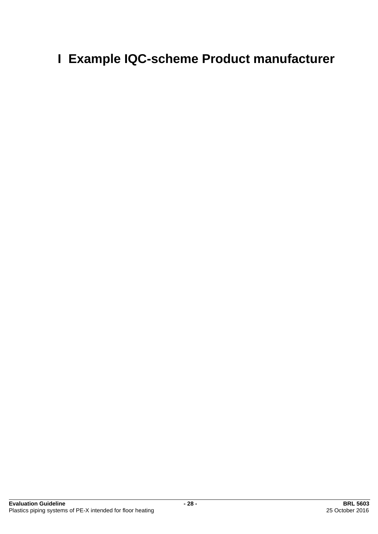# **I Example IQC-scheme Product manufacturer**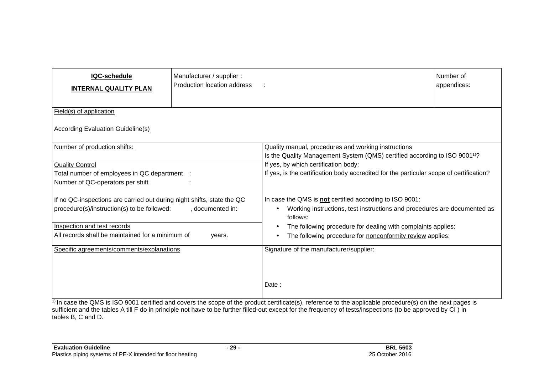| IQC-schedule<br><b>INTERNAL QUALITY PLAN</b>                                                                          | Manufacturer / supplier :<br>Production location address |                                                                                                                                                                                                                           | Number of<br>appendices: |  |  |  |
|-----------------------------------------------------------------------------------------------------------------------|----------------------------------------------------------|---------------------------------------------------------------------------------------------------------------------------------------------------------------------------------------------------------------------------|--------------------------|--|--|--|
| Field(s) of application                                                                                               |                                                          |                                                                                                                                                                                                                           |                          |  |  |  |
| According Evaluation Guideline(s)                                                                                     |                                                          |                                                                                                                                                                                                                           |                          |  |  |  |
| Number of production shifts:                                                                                          |                                                          | Quality manual, procedures and working instructions                                                                                                                                                                       |                          |  |  |  |
| <b>Quality Control</b><br>Total number of employees in QC department :<br>Number of QC-operators per shift            |                                                          | Is the Quality Management System (QMS) certified according to ISO 9001 <sup>1)</sup> ?<br>If yes, by which certification body:<br>If yes, is the certification body accredited for the particular scope of certification? |                          |  |  |  |
| If no QC-inspections are carried out during night shifts, state the QC<br>procedure(s)/instruction(s) to be followed: | , documented in:                                         | In case the QMS is not certified according to ISO 9001:<br>Working instructions, test instructions and procedures are documented as<br>follows:                                                                           |                          |  |  |  |
| Inspection and test records                                                                                           |                                                          | The following procedure for dealing with complaints applies:                                                                                                                                                              |                          |  |  |  |
| All records shall be maintained for a minimum of                                                                      | years.                                                   | The following procedure for nonconformity review applies:                                                                                                                                                                 |                          |  |  |  |
| Specific agreements/comments/explanations                                                                             |                                                          | Signature of the manufacturer/supplier:                                                                                                                                                                                   |                          |  |  |  |
|                                                                                                                       |                                                          | Date:<br>1) In case the OMC is ICO 0001 setting and course the seems of the product certificate(s), reference to the configable procedure(s) on the pout pages in                                                         |                          |  |  |  |

1) In case the QMS is ISO 9001 certified and covers the scope of the product certificate(s), reference to the applicable procedure(s) on the next pages is sufficient and the tables A till F do in principle not have to be further filled-out except for the frequency of tests/inspections (to be approved by CI ) in tables B, C and D.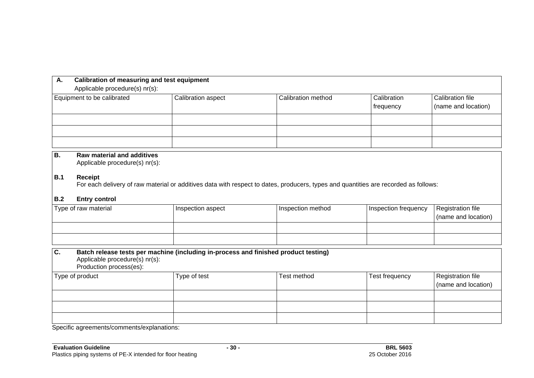| А.<br>Applicable procedure(s) nr(s): | Calibration of measuring and test equipment |                    |                          |                                         |  |  |
|--------------------------------------|---------------------------------------------|--------------------|--------------------------|-----------------------------------------|--|--|
| Equipment to be calibrated           | Calibration aspect                          | Calibration method | Calibration<br>frequency | Calibration file<br>(name and location) |  |  |
|                                      |                                             |                    |                          |                                         |  |  |
|                                      |                                             |                    |                          |                                         |  |  |
|                                      |                                             |                    |                          |                                         |  |  |

### **B. Raw material and additives**

Applicable procedure(s) nr(s):

#### **B.1 Receipt**

For each delivery of raw material or additives data with respect to dates, producers, types and quantities are recorded as follows:

#### **B.2 Entry control**

| Type of raw material | Inspection aspect | Inspection method | Inspection frequency | Registration file<br>(name and location) |
|----------------------|-------------------|-------------------|----------------------|------------------------------------------|
|                      |                   |                   |                      |                                          |
|                      |                   |                   |                      |                                          |

| $\mathsf{C}$ .  | Batch release tests per machine (including in-process and finished product testing)<br>Applicable procedure(s) nr(s):<br>Production process(es): |             |                |                     |  |  |
|-----------------|--------------------------------------------------------------------------------------------------------------------------------------------------|-------------|----------------|---------------------|--|--|
| Type of product | Type of test                                                                                                                                     | Test method | Test frequency | Registration file   |  |  |
|                 |                                                                                                                                                  |             |                | (name and location) |  |  |
|                 |                                                                                                                                                  |             |                |                     |  |  |
|                 |                                                                                                                                                  |             |                |                     |  |  |
|                 |                                                                                                                                                  |             |                |                     |  |  |

Specific agreements/comments/explanations: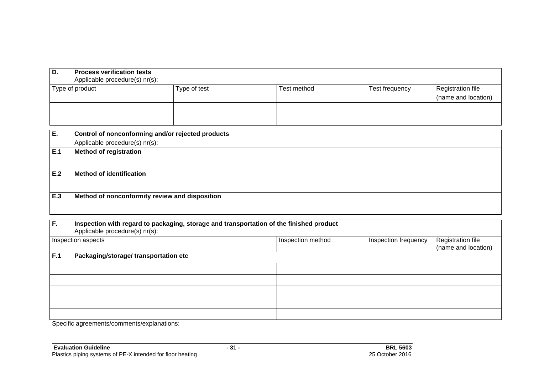|                                 | Type of test                          | <b>Test method</b>                                                                                                                                                                                                                                                                      | Test frequency                                                                          | <b>Registration file</b><br>(name and location) |
|---------------------------------|---------------------------------------|-----------------------------------------------------------------------------------------------------------------------------------------------------------------------------------------------------------------------------------------------------------------------------------------|-----------------------------------------------------------------------------------------|-------------------------------------------------|
|                                 |                                       |                                                                                                                                                                                                                                                                                         |                                                                                         |                                                 |
|                                 |                                       |                                                                                                                                                                                                                                                                                         |                                                                                         |                                                 |
| <b>Method of registration</b>   |                                       |                                                                                                                                                                                                                                                                                         |                                                                                         |                                                 |
| <b>Method of identification</b> |                                       |                                                                                                                                                                                                                                                                                         |                                                                                         |                                                 |
|                                 |                                       |                                                                                                                                                                                                                                                                                         |                                                                                         |                                                 |
|                                 |                                       |                                                                                                                                                                                                                                                                                         |                                                                                         |                                                 |
|                                 |                                       | Inspection method                                                                                                                                                                                                                                                                       | Inspection frequency                                                                    | Registration file<br>(name and location)        |
|                                 |                                       |                                                                                                                                                                                                                                                                                         |                                                                                         |                                                 |
|                                 |                                       |                                                                                                                                                                                                                                                                                         |                                                                                         |                                                 |
|                                 |                                       |                                                                                                                                                                                                                                                                                         |                                                                                         |                                                 |
|                                 |                                       |                                                                                                                                                                                                                                                                                         |                                                                                         |                                                 |
|                                 | Type of product<br>Inspection aspects | <b>Process verification tests</b><br>Applicable procedure(s) nr(s):<br>Control of nonconforming and/or rejected products<br>Applicable procedure(s) nr(s):<br>Method of nonconformity review and disposition<br>Applicable procedure(s) nr(s):<br>Packaging/storage/ transportation etc | Inspection with regard to packaging, storage and transportation of the finished product |                                                 |

Specific agreements/comments/explanations: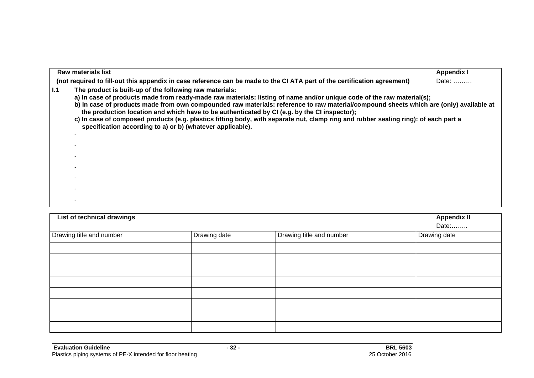|     | <b>Raw materials list</b>                                                                                                                                                                                                                                                                                                                                                                                                                                                                                                                                                                                                       | <b>Appendix I</b> |
|-----|---------------------------------------------------------------------------------------------------------------------------------------------------------------------------------------------------------------------------------------------------------------------------------------------------------------------------------------------------------------------------------------------------------------------------------------------------------------------------------------------------------------------------------------------------------------------------------------------------------------------------------|-------------------|
|     | (not required to fill-out this appendix in case reference can be made to the CI ATA part of the certification agreement)                                                                                                                                                                                                                                                                                                                                                                                                                                                                                                        | Date:             |
| 1.1 | The product is built-up of the following raw materials:<br>a) In case of products made from ready-made raw materials: listing of name and/or unique code of the raw material(s);<br>b) In case of products made from own compounded raw materials: reference to raw material/compound sheets which are (only) available at<br>the production location and which have to be authenticated by CI (e.g. by the CI inspector);<br>c) In case of composed products (e.g. plastics fitting body, with separate nut, clamp ring and rubber sealing ring): of each part a<br>specification according to a) or b) (whatever applicable). |                   |
|     |                                                                                                                                                                                                                                                                                                                                                                                                                                                                                                                                                                                                                                 |                   |
|     |                                                                                                                                                                                                                                                                                                                                                                                                                                                                                                                                                                                                                                 |                   |
|     |                                                                                                                                                                                                                                                                                                                                                                                                                                                                                                                                                                                                                                 |                   |
|     |                                                                                                                                                                                                                                                                                                                                                                                                                                                                                                                                                                                                                                 |                   |
|     |                                                                                                                                                                                                                                                                                                                                                                                                                                                                                                                                                                                                                                 |                   |
|     |                                                                                                                                                                                                                                                                                                                                                                                                                                                                                                                                                                                                                                 |                   |
|     |                                                                                                                                                                                                                                                                                                                                                                                                                                                                                                                                                                                                                                 |                   |

| List of technical drawings |              |                          | <b>Appendix II</b><br>Date: |
|----------------------------|--------------|--------------------------|-----------------------------|
| Drawing title and number   | Drawing date | Drawing title and number | Drawing date                |
|                            |              |                          |                             |
|                            |              |                          |                             |
|                            |              |                          |                             |
|                            |              |                          |                             |
|                            |              |                          |                             |
|                            |              |                          |                             |
|                            |              |                          |                             |
|                            |              |                          |                             |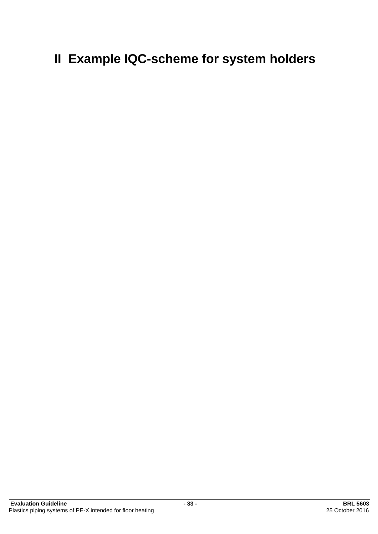# **II Example IQC-scheme for system holders**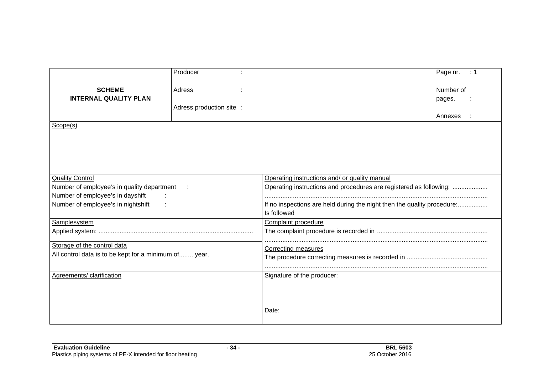|                                                      | Producer                 |                                                                         | Page nr.<br>$\div$ 1 |  |
|------------------------------------------------------|--------------------------|-------------------------------------------------------------------------|----------------------|--|
| <b>SCHEME</b>                                        |                          |                                                                         | Number of            |  |
|                                                      | Adress                   |                                                                         |                      |  |
| <b>INTERNAL QUALITY PLAN</b>                         |                          |                                                                         | pages.               |  |
|                                                      | Adress production site : |                                                                         |                      |  |
|                                                      |                          |                                                                         | Annexes              |  |
| Scope(s)                                             |                          |                                                                         |                      |  |
|                                                      |                          |                                                                         |                      |  |
|                                                      |                          |                                                                         |                      |  |
|                                                      |                          |                                                                         |                      |  |
|                                                      |                          |                                                                         |                      |  |
|                                                      |                          |                                                                         |                      |  |
| <b>Quality Control</b>                               |                          | Operating instructions and/ or quality manual                           |                      |  |
| Number of employee's in quality department           |                          | Operating instructions and procedures are registered as following:      |                      |  |
| Number of employee's in dayshift                     |                          |                                                                         |                      |  |
| Number of employee's in nightshift                   |                          | If no inspections are held during the night then the quality procedure: |                      |  |
|                                                      |                          | Is followed                                                             |                      |  |
| Samplesystem                                         |                          | Complaint procedure                                                     |                      |  |
|                                                      |                          |                                                                         |                      |  |
|                                                      |                          |                                                                         |                      |  |
| Storage of the control data                          |                          | Correcting measures                                                     |                      |  |
| All control data is to be kept for a minimum ofyear. |                          |                                                                         |                      |  |
|                                                      |                          |                                                                         |                      |  |
|                                                      |                          |                                                                         |                      |  |
| Agreements/ clarification                            |                          | Signature of the producer:                                              |                      |  |
|                                                      |                          |                                                                         |                      |  |
|                                                      |                          |                                                                         |                      |  |
|                                                      |                          |                                                                         |                      |  |
|                                                      |                          | Date:                                                                   |                      |  |
|                                                      |                          |                                                                         |                      |  |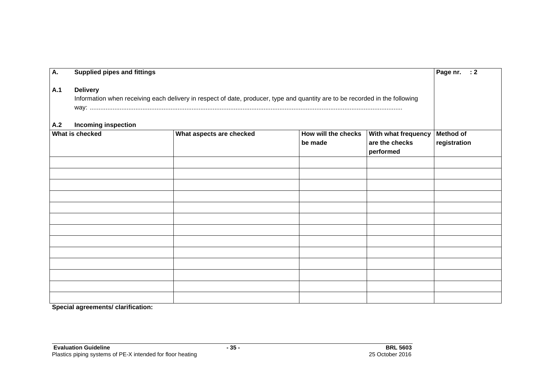| A.                                                                                                                                                                       | Page nr. $: 2$<br><b>Supplied pipes and fittings</b>                                                                                            |  |  |  |                                  |  |
|--------------------------------------------------------------------------------------------------------------------------------------------------------------------------|-------------------------------------------------------------------------------------------------------------------------------------------------|--|--|--|----------------------------------|--|
| A.1                                                                                                                                                                      | <b>Delivery</b><br>Information when receiving each delivery in respect of date, producer, type and quantity are to be recorded in the following |  |  |  |                                  |  |
| <b>Incoming inspection</b><br>A.2<br>How will the checks<br>What is checked<br>What aspects are checked<br>With what frequency<br>are the checks<br>be made<br>performed |                                                                                                                                                 |  |  |  | <b>Method of</b><br>registration |  |
|                                                                                                                                                                          |                                                                                                                                                 |  |  |  |                                  |  |
|                                                                                                                                                                          |                                                                                                                                                 |  |  |  |                                  |  |
|                                                                                                                                                                          |                                                                                                                                                 |  |  |  |                                  |  |
|                                                                                                                                                                          |                                                                                                                                                 |  |  |  |                                  |  |
|                                                                                                                                                                          |                                                                                                                                                 |  |  |  |                                  |  |
|                                                                                                                                                                          |                                                                                                                                                 |  |  |  |                                  |  |
|                                                                                                                                                                          |                                                                                                                                                 |  |  |  |                                  |  |
|                                                                                                                                                                          |                                                                                                                                                 |  |  |  |                                  |  |
|                                                                                                                                                                          |                                                                                                                                                 |  |  |  |                                  |  |
|                                                                                                                                                                          |                                                                                                                                                 |  |  |  |                                  |  |
|                                                                                                                                                                          |                                                                                                                                                 |  |  |  |                                  |  |
|                                                                                                                                                                          |                                                                                                                                                 |  |  |  |                                  |  |
|                                                                                                                                                                          |                                                                                                                                                 |  |  |  |                                  |  |

**Special agreements/ clarification:**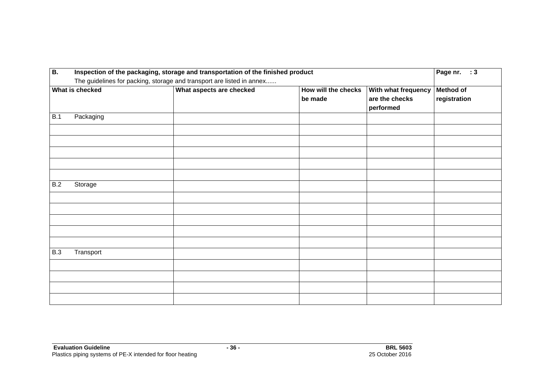| <b>B.</b>  | Inspection of the packaging, storage and transportation of the finished product |                          |                                |                                                    | Page nr. : 3                     |
|------------|---------------------------------------------------------------------------------|--------------------------|--------------------------------|----------------------------------------------------|----------------------------------|
|            | The guidelines for packing, storage and transport are listed in annex           |                          |                                |                                                    |                                  |
|            | What is checked                                                                 | What aspects are checked | How will the checks<br>be made | With what frequency<br>are the checks<br>performed | <b>Method of</b><br>registration |
| B.1        | Packaging                                                                       |                          |                                |                                                    |                                  |
|            |                                                                                 |                          |                                |                                                    |                                  |
|            |                                                                                 |                          |                                |                                                    |                                  |
|            |                                                                                 |                          |                                |                                                    |                                  |
|            |                                                                                 |                          |                                |                                                    |                                  |
|            |                                                                                 |                          |                                |                                                    |                                  |
| B.2        | Storage                                                                         |                          |                                |                                                    |                                  |
|            |                                                                                 |                          |                                |                                                    |                                  |
|            |                                                                                 |                          |                                |                                                    |                                  |
|            |                                                                                 |                          |                                |                                                    |                                  |
|            |                                                                                 |                          |                                |                                                    |                                  |
|            |                                                                                 |                          |                                |                                                    |                                  |
| <b>B.3</b> | Transport                                                                       |                          |                                |                                                    |                                  |
|            |                                                                                 |                          |                                |                                                    |                                  |
|            |                                                                                 |                          |                                |                                                    |                                  |
|            |                                                                                 |                          |                                |                                                    |                                  |
|            |                                                                                 |                          |                                |                                                    |                                  |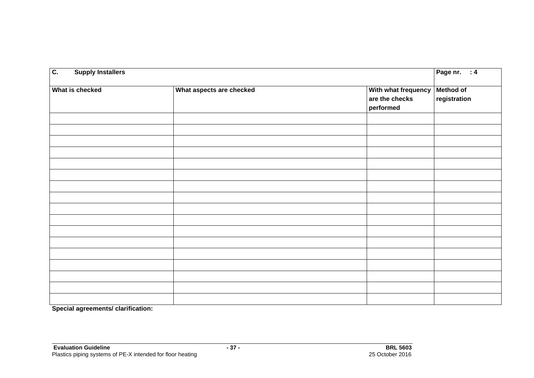| $\overline{c}$ .<br>Page nr. : 4<br><b>Supply Installers</b> |                          |                                                    |                           |
|--------------------------------------------------------------|--------------------------|----------------------------------------------------|---------------------------|
| What is checked                                              | What aspects are checked | With what frequency<br>are the checks<br>performed | Method of<br>registration |
|                                                              |                          |                                                    |                           |
|                                                              |                          |                                                    |                           |
|                                                              |                          |                                                    |                           |
|                                                              |                          |                                                    |                           |
|                                                              |                          |                                                    |                           |
|                                                              |                          |                                                    |                           |
|                                                              |                          |                                                    |                           |
|                                                              |                          |                                                    |                           |
|                                                              |                          |                                                    |                           |
|                                                              |                          |                                                    |                           |
|                                                              |                          |                                                    |                           |
|                                                              |                          |                                                    |                           |
|                                                              |                          |                                                    |                           |
|                                                              |                          |                                                    |                           |
|                                                              |                          |                                                    |                           |
|                                                              |                          |                                                    |                           |

**Special agreements/ clarification:**